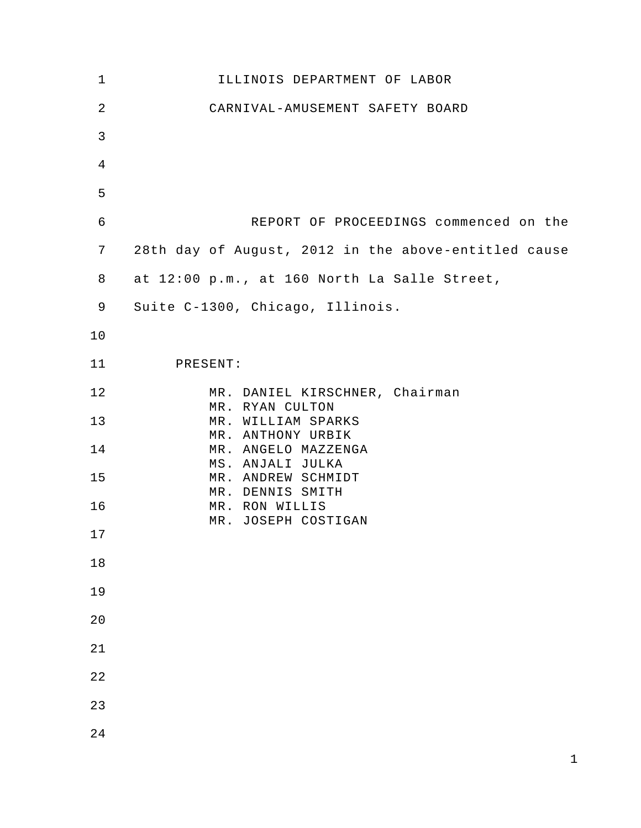| $\mathbf 1$    | ILLINOIS DEPARTMENT OF LABOR                         |
|----------------|------------------------------------------------------|
| $\overline{2}$ | CARNIVAL-AMUSEMENT SAFETY BOARD                      |
| $\mathfrak{Z}$ |                                                      |
| $\overline{4}$ |                                                      |
| 5              |                                                      |
| $\epsilon$     | REPORT OF PROCEEDINGS commenced on the               |
| 7              | 28th day of August, 2012 in the above-entitled cause |
| 8              | at 12:00 p.m., at 160 North La Salle Street,         |
| 9              | Suite C-1300, Chicago, Illinois.                     |
| 10             |                                                      |
| 11             | PRESENT:                                             |
| 12             | MR. DANIEL KIRSCHNER, Chairman<br>MR. RYAN CULTON    |
| 13             | MR. WILLIAM SPARKS<br>MR. ANTHONY URBIK              |
| 14             | MR. ANGELO MAZZENGA<br>MS. ANJALI JULKA              |
| 15             | MR. ANDREW SCHMIDT<br>MR. DENNIS SMITH               |
| 16             | MR. RON WILLIS<br>MR. JOSEPH COSTIGAN                |
| 17             |                                                      |
| 18             |                                                      |
| 19             |                                                      |
| 20             |                                                      |
| 21             |                                                      |
| 22             |                                                      |
| 23             |                                                      |
| 24             |                                                      |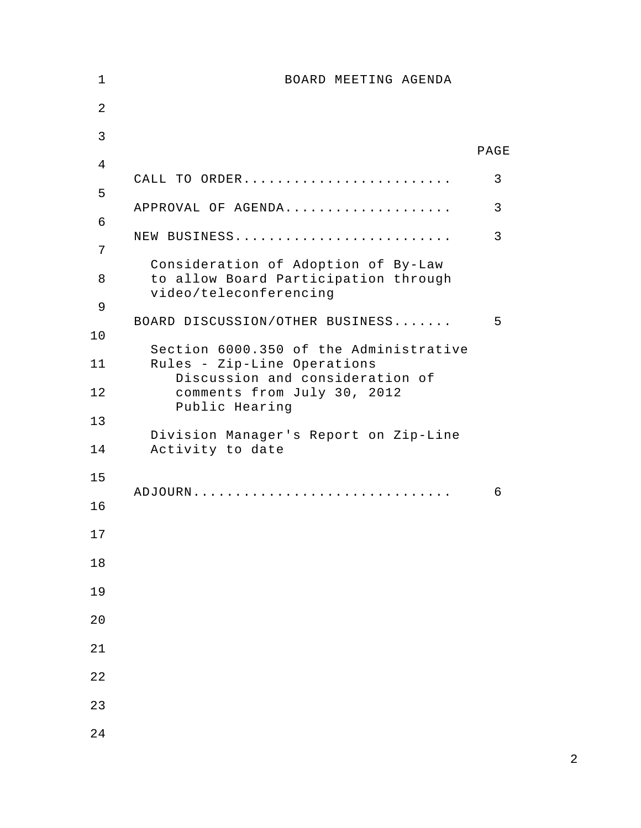| 1              | BOARD MEETING AGENDA                                                                                  |      |
|----------------|-------------------------------------------------------------------------------------------------------|------|
| $\overline{2}$ |                                                                                                       |      |
| 3              |                                                                                                       | PAGE |
| 4              |                                                                                                       |      |
| 5              | CALL TO ORDER                                                                                         | 3    |
| 6              | APPROVAL OF AGENDA                                                                                    | 3    |
| 7              | NEW BUSINESS                                                                                          | 3    |
| 8              | Consideration of Adoption of By-Law<br>to allow Board Participation through<br>video/teleconferencing |      |
| 9              | BOARD DISCUSSION/OTHER BUSINESS                                                                       | 5    |
| 10             | Section 6000.350 of the Administrative                                                                |      |
| 11             | Rules - Zip-Line Operations<br>Discussion and consideration of                                        |      |
| 12             | comments from July 30, 2012<br>Public Hearing                                                         |      |
| 13             |                                                                                                       |      |
| 14             | Division Manager's Report on Zip-Line<br>Activity to date                                             |      |
| 15             |                                                                                                       |      |
| 16             |                                                                                                       | 6    |
| 17             |                                                                                                       |      |
| 18             |                                                                                                       |      |
| 19             |                                                                                                       |      |
| 20             |                                                                                                       |      |
| 21             |                                                                                                       |      |
| 22             |                                                                                                       |      |
| 23             |                                                                                                       |      |
| 24             |                                                                                                       |      |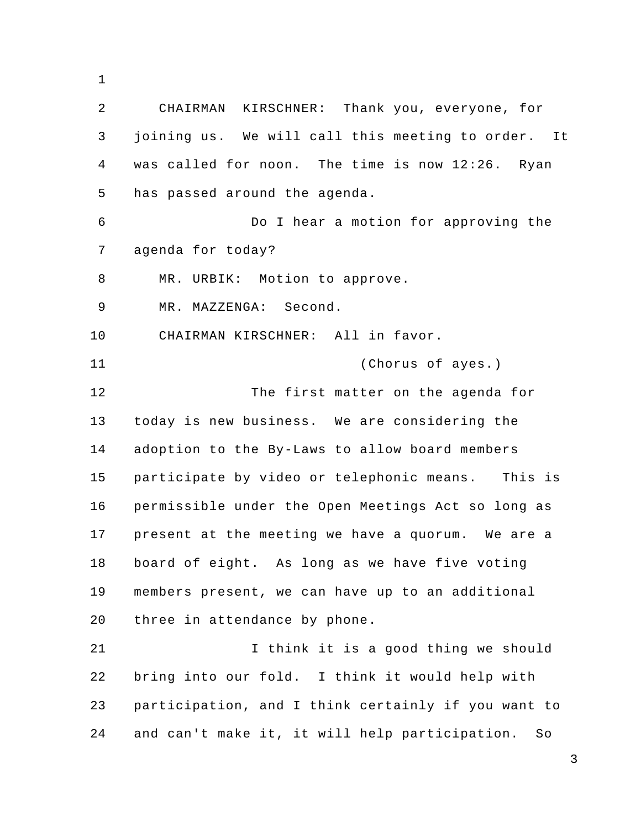1

2 3 4 5 6 7 8 9 10 11 12 13 14 15 16 17 18 19 20 21 22 23 24 CHAIRMAN KIRSCHNER: Thank you, everyone, for joining us. We will call this meeting to order. It was called for noon. The time is now 12:26. Ryan has passed around the agenda. Do I hear a motion for approving the agenda for today? MR. URBIK: Motion to approve. MR. MAZZENGA: Second. CHAIRMAN KIRSCHNER: All in favor. (Chorus of ayes.) The first matter on the agenda for today is new business. We are considering the adoption to the By-Laws to allow board members participate by video or telephonic means. This is permissible under the Open Meetings Act so long as present at the meeting we have a quorum. We are a board of eight. As long as we have five voting members present, we can have up to an additional three in attendance by phone. I think it is a good thing we should bring into our fold. I think it would help with participation, and I think certainly if you want to and can't make it, it will help participation. So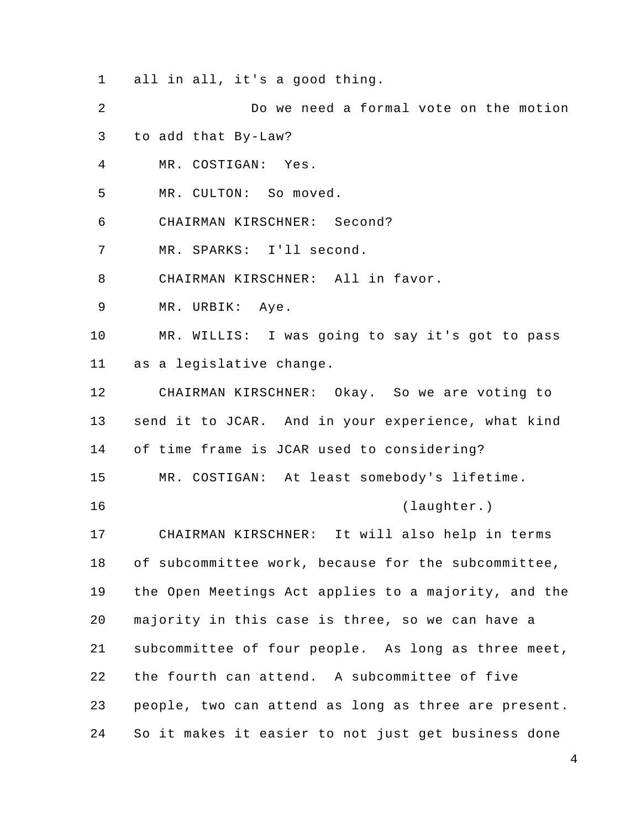1 all in all, it's a good thing.

- 2 Do we need a formal vote on the motion
- 3 to add that By-Law?
- 4 MR. COSTIGAN: Yes.
- 5 MR. CULTON: So moved.
- 6 CHAIRMAN KIRSCHNER: Second?
- 7 MR. SPARKS: I'll second.
- 8 CHAIRMAN KIRSCHNER: All in favor.
- 9 MR. URBIK: Aye.

10 11 MR. WILLIS: I was going to say it's got to pass as a legislative change.

12 13 14 CHAIRMAN KIRSCHNER: Okay. So we are voting to send it to JCAR. And in your experience, what kind of time frame is JCAR used to considering?

15 MR. COSTIGAN: At least somebody's lifetime.

16

(laughter.)

17 18 19 20 21 22 23 24 CHAIRMAN KIRSCHNER: It will also help in terms of subcommittee work, because for the subcommittee, the Open Meetings Act applies to a majority, and the majority in this case is three, so we can have a subcommittee of four people. As long as three meet, the fourth can attend. A subcommittee of five people, two can attend as long as three are present. So it makes it easier to not just get business done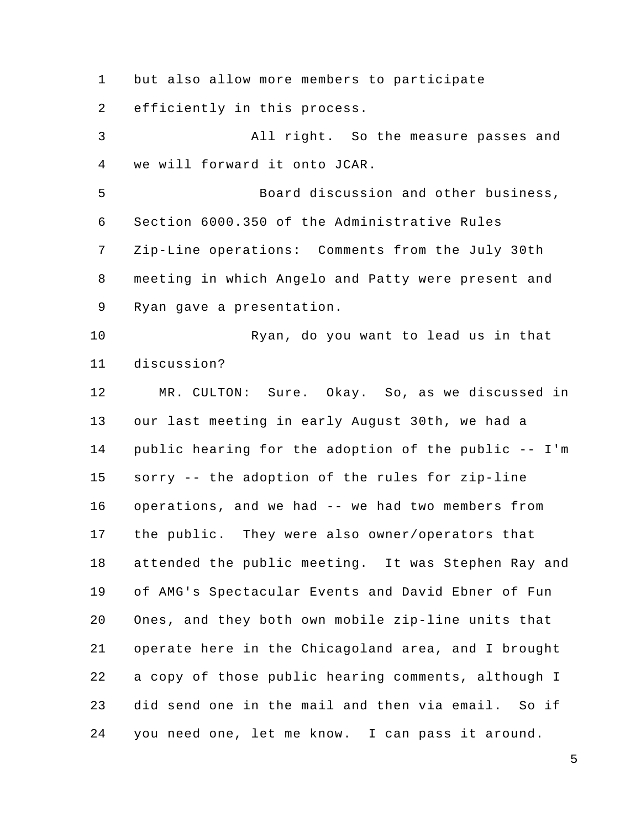1 but also allow more members to participate

2 efficiently in this process.

3 4 5 6 7 8 9 10 11 12 13 14 15 16 17 18 19 20 21 22 23 24 All right. So the measure passes and we will forward it onto JCAR. Board discussion and other business, Section 6000.350 of the Administrative Rules Zip-Line operations: Comments from the July 30th meeting in which Angelo and Patty were present and Ryan gave a presentation. Ryan, do you want to lead us in that discussion? MR. CULTON: Sure. Okay. So, as we discussed in our last meeting in early August 30th, we had a public hearing for the adoption of the public -- I'm sorry -- the adoption of the rules for zip-line operations, and we had -- we had two members from the public. They were also owner/operators that attended the public meeting. It was Stephen Ray and of AMG's Spectacular Events and David Ebner of Fun Ones, and they both own mobile zip-line units that operate here in the Chicagoland area, and I brought a copy of those public hearing comments, although I did send one in the mail and then via email. So if you need one, let me know. I can pass it around.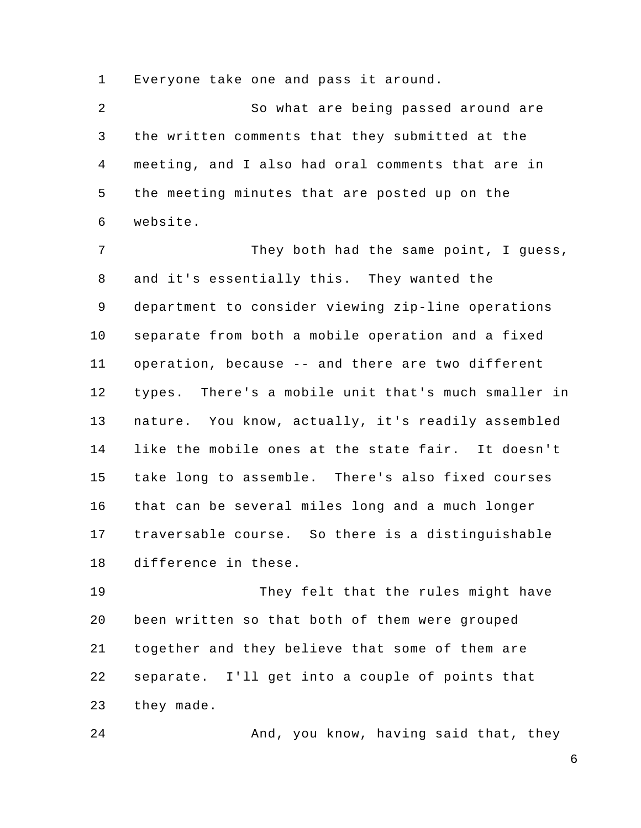1 Everyone take one and pass it around.

2 3 4 5 6 So what are being passed around are the written comments that they submitted at the meeting, and I also had oral comments that are in the meeting minutes that are posted up on the website.

7 8 9 10 11 12 13 14 15 16 17 18 They both had the same point, I guess, and it's essentially this. They wanted the department to consider viewing zip-line operations separate from both a mobile operation and a fixed operation, because -- and there are two different types. There's a mobile unit that's much smaller in nature. You know, actually, it's readily assembled like the mobile ones at the state fair. It doesn't take long to assemble. There's also fixed courses that can be several miles long and a much longer traversable course. So there is a distinguishable difference in these.

19 20 21 22 23 They felt that the rules might have been written so that both of them were grouped together and they believe that some of them are separate. I'll get into a couple of points that they made.

24

And, you know, having said that, they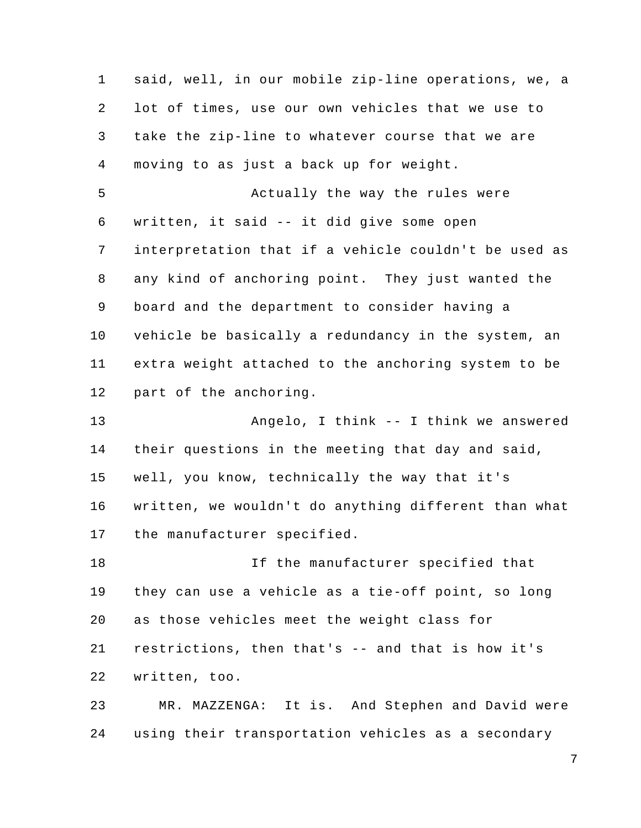1 2 3 4 5 6 7 8 9 10 11 12 13 14 15 16 17 18 19 20 21 22 23 24 said, well, in our mobile zip-line operations, we, a lot of times, use our own vehicles that we use to take the zip-line to whatever course that we are moving to as just a back up for weight. Actually the way the rules were written, it said -- it did give some open interpretation that if a vehicle couldn't be used as any kind of anchoring point. They just wanted the board and the department to consider having a vehicle be basically a redundancy in the system, an extra weight attached to the anchoring system to be part of the anchoring. Angelo, I think -- I think we answered their questions in the meeting that day and said, well, you know, technically the way that it's written, we wouldn't do anything different than what the manufacturer specified. If the manufacturer specified that they can use a vehicle as a tie-off point, so long as those vehicles meet the weight class for restrictions, then that's -- and that is how it's written, too. MR. MAZZENGA: It is. And Stephen and David were using their transportation vehicles as a secondary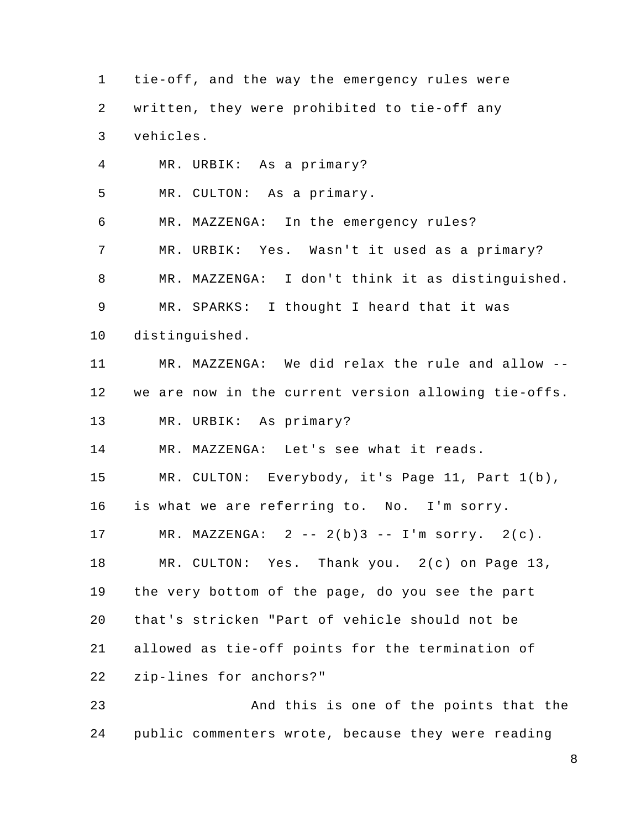1 2 3 4 5 6 7 8 9 10 11 12 13 14 15 16 17 18 19 20 21 22 23 tie-off, and the way the emergency rules were written, they were prohibited to tie-off any vehicles. MR. URBIK: As a primary? MR. CULTON: As a primary. MR. MAZZENGA: In the emergency rules? MR. URBIK: Yes. Wasn't it used as a primary? MR. MAZZENGA: I don't think it as distinguished. MR. SPARKS: I thought I heard that it was distinguished. MR. MAZZENGA: We did relax the rule and allow - we are now in the current version allowing tie-offs. MR. URBIK: As primary? MR. MAZZENGA: Let's see what it reads. MR. CULTON: Everybody, it's Page 11, Part 1(b), is what we are referring to. No. I'm sorry. MR. MAZZENGA:  $2 - - 2(b)3 - - 1$ 'm sorry.  $2(c)$ . MR. CULTON: Yes. Thank you. 2(c) on Page 13, the very bottom of the page, do you see the part that's stricken "Part of vehicle should not be allowed as tie-off points for the termination of zip-lines for anchors?" And this is one of the points that the public commenters wrote, because they were reading

24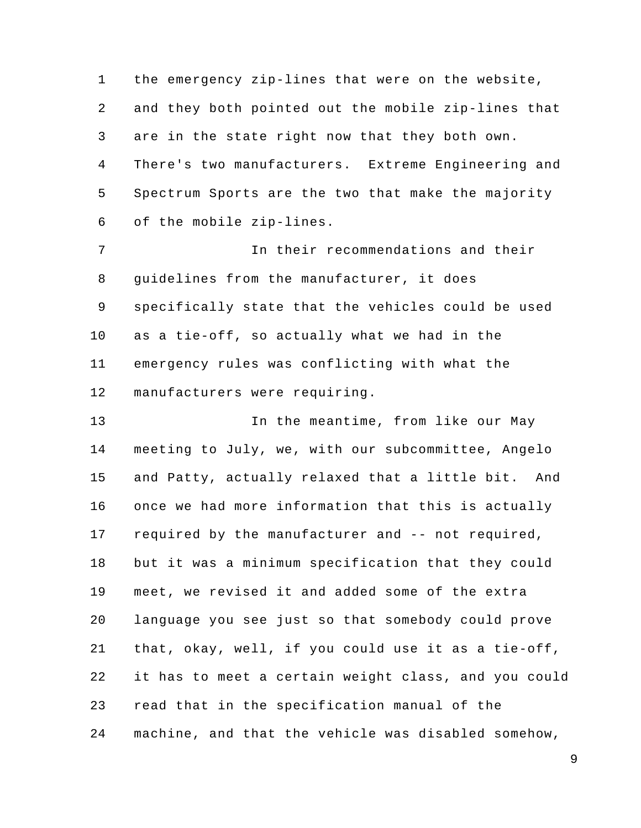1 2 3 4 5 6 the emergency zip-lines that were on the website, and they both pointed out the mobile zip-lines that are in the state right now that they both own. There's two manufacturers. Extreme Engineering and Spectrum Sports are the two that make the majority of the mobile zip-lines.

7 8 9 10 11 12 In their recommendations and their guidelines from the manufacturer, it does specifically state that the vehicles could be used as a tie-off, so actually what we had in the emergency rules was conflicting with what the manufacturers were requiring.

13 14 15 16 17 18 19 20 21 22 23 24 In the meantime, from like our May meeting to July, we, with our subcommittee, Angelo and Patty, actually relaxed that a little bit. And once we had more information that this is actually required by the manufacturer and -- not required, but it was a minimum specification that they could meet, we revised it and added some of the extra language you see just so that somebody could prove that, okay, well, if you could use it as a tie-off, it has to meet a certain weight class, and you could read that in the specification manual of the machine, and that the vehicle was disabled somehow,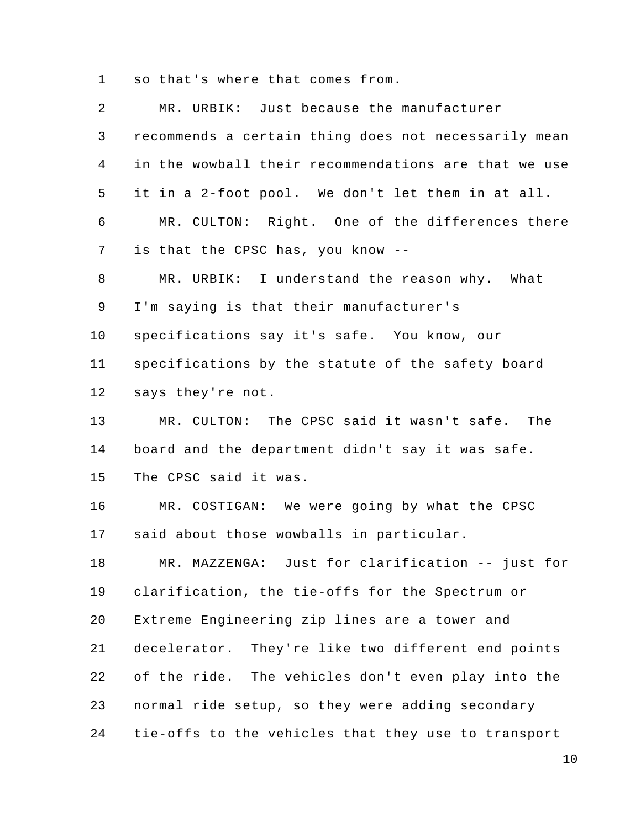1 so that's where that comes from.

| 2              | MR. URBIK: Just because the manufacturer             |
|----------------|------------------------------------------------------|
| $\mathsf{3}$   | recommends a certain thing does not necessarily mean |
| $\overline{4}$ | in the wowball their recommendations are that we use |
| 5              | it in a 2-foot pool. We don't let them in at all.    |
| 6              | MR. CULTON: Right. One of the differences there      |
| 7              | is that the CPSC has, you know --                    |
| 8              | MR. URBIK: I understand the reason why. What         |
| 9              | I'm saying is that their manufacturer's              |
| 10             | specifications say it's safe. You know, our          |
| 11             | specifications by the statute of the safety board    |
| 12             | says they're not.                                    |
| 13             | MR. CULTON: The CPSC said it wasn't safe. The        |
| 14             | board and the department didn't say it was safe.     |
| 15             | The CPSC said it was.                                |
| 16             | MR. COSTIGAN: We were going by what the CPSC         |
| 17             | said about those wowballs in particular.             |
| 18             | Just for clarification -- just for<br>MR. MAZZENGA:  |
| 19             | clarification, the tie-offs for the Spectrum or      |
| 20             | Extreme Engineering zip lines are a tower and        |
| 21             | decelerator. They're like two different end points   |
| 22             | of the ride. The vehicles don't even play into the   |
| 23             | normal ride setup, so they were adding secondary     |
| 24             | tie-offs to the vehicles that they use to transport  |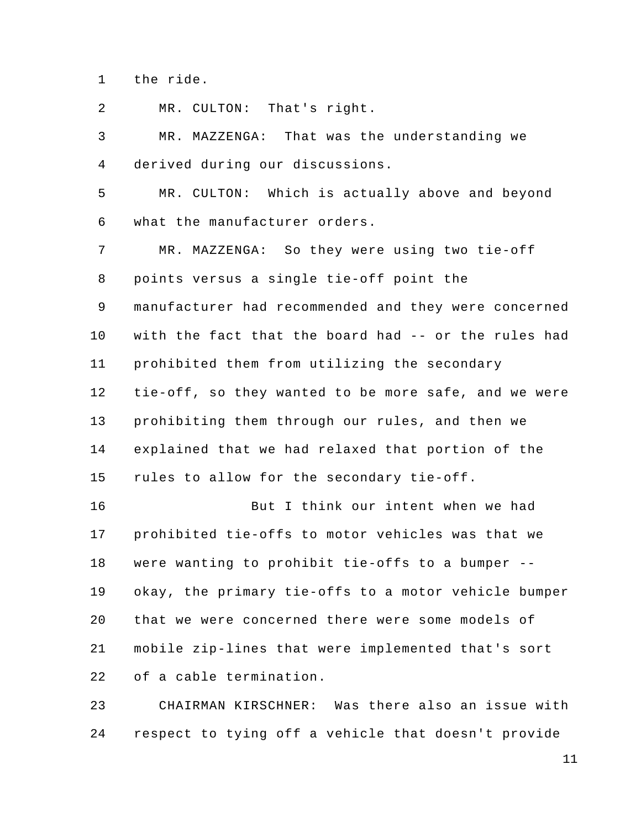1 the ride.

2 MR. CULTON: That's right.

3 4 5 6 7 8 9 10 11 12 13 14 15 16 17 18 19 20 MR. MAZZENGA: That was the understanding we derived during our discussions. MR. CULTON: Which is actually above and beyond what the manufacturer orders. MR. MAZZENGA: So they were using two tie-off points versus a single tie-off point the manufacturer had recommended and they were concerned with the fact that the board had -- or the rules had prohibited them from utilizing the secondary tie-off, so they wanted to be more safe, and we were prohibiting them through our rules, and then we explained that we had relaxed that portion of the rules to allow for the secondary tie-off. But I think our intent when we had prohibited tie-offs to motor vehicles was that we were wanting to prohibit tie-offs to a bumper - okay, the primary tie-offs to a motor vehicle bumper that we were concerned there were some models of

21 22 mobile zip-lines that were implemented that's sort of a cable termination.

23 24 CHAIRMAN KIRSCHNER: Was there also an issue with respect to tying off a vehicle that doesn't provide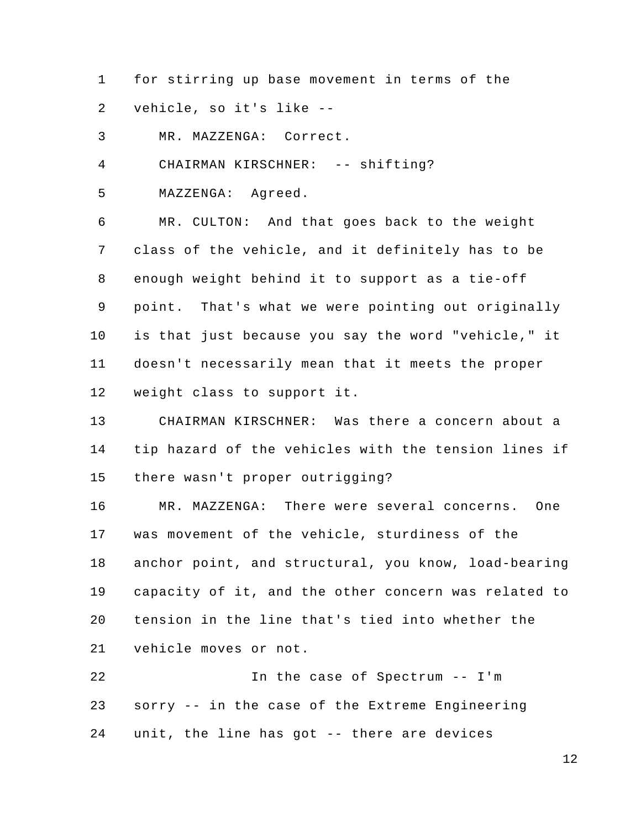1 2 for stirring up base movement in terms of the vehicle, so it's like --

3 MR. MAZZENGA: Correct.

4 CHAIRMAN KIRSCHNER: -- shifting?

5 MAZZENGA: Agreed.

6 7 8 9 10 11 12 MR. CULTON: And that goes back to the weight class of the vehicle, and it definitely has to be enough weight behind it to support as a tie-off point. That's what we were pointing out originally is that just because you say the word "vehicle," it doesn't necessarily mean that it meets the proper weight class to support it.

13 14 15 CHAIRMAN KIRSCHNER: Was there a concern about a tip hazard of the vehicles with the tension lines if there wasn't proper outrigging?

16 17 18 19 20 21 MR. MAZZENGA: There were several concerns. One was movement of the vehicle, sturdiness of the anchor point, and structural, you know, load-bearing capacity of it, and the other concern was related to tension in the line that's tied into whether the vehicle moves or not.

22 23 24 In the case of Spectrum -- I'm sorry -- in the case of the Extreme Engineering unit, the line has got -- there are devices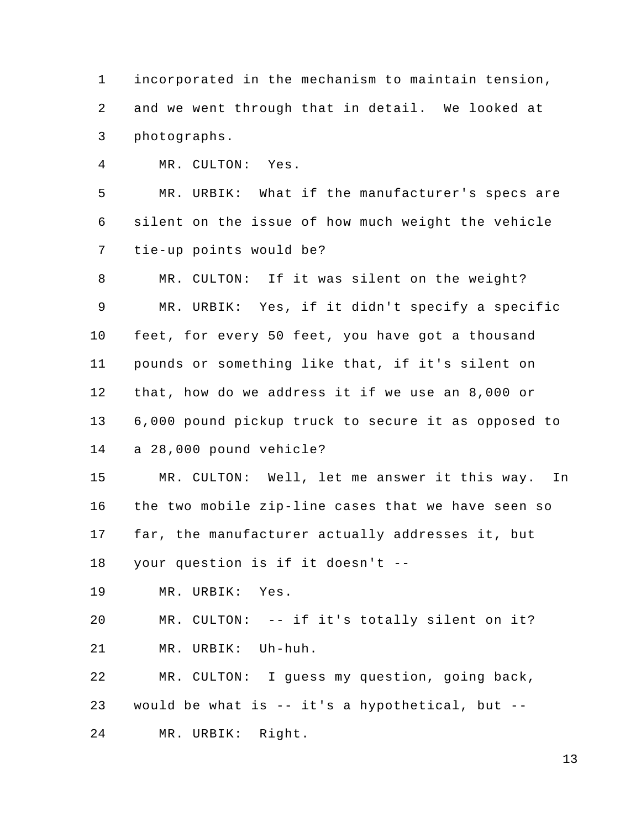1 2 3 incorporated in the mechanism to maintain tension, and we went through that in detail. We looked at photographs.

4 MR. CULTON: Yes.

5 6 7 MR. URBIK: What if the manufacturer's specs are silent on the issue of how much weight the vehicle tie-up points would be?

8 9 10 11 12 13 14 MR. CULTON: If it was silent on the weight? MR. URBIK: Yes, if it didn't specify a specific feet, for every 50 feet, you have got a thousand pounds or something like that, if it's silent on that, how do we address it if we use an 8,000 or 6,000 pound pickup truck to secure it as opposed to a 28,000 pound vehicle?

15 16 17 MR. CULTON: Well, let me answer it this way. In the two mobile zip-line cases that we have seen so far, the manufacturer actually addresses it, but

18 your question is if it doesn't --

19 MR. URBIK: Yes.

20 21 MR. CULTON: -- if it's totally silent on it? MR. URBIK: Uh-huh.

22 23 24 MR. CULTON: I guess my question, going back, would be what is  $-$  it's a hypothetical, but  $-$ MR. URBIK: Right.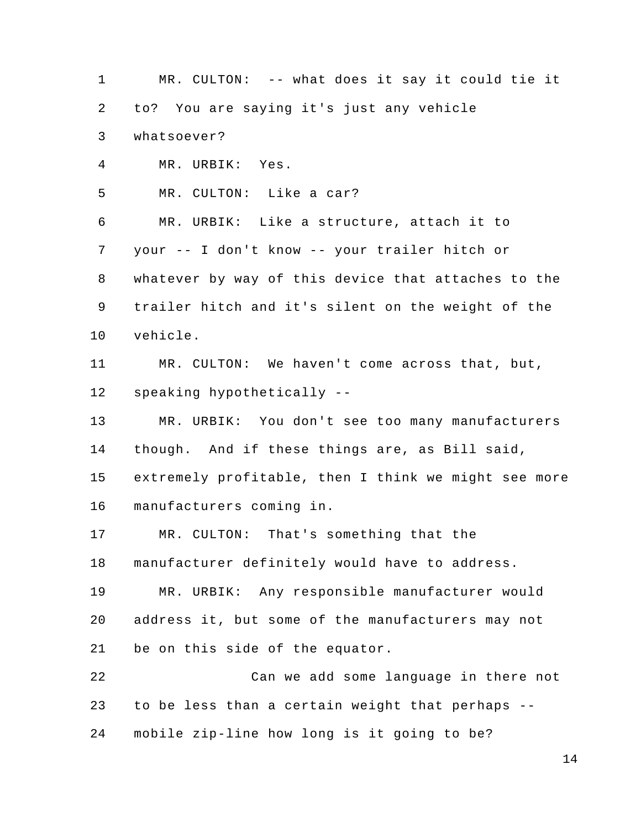1 2 3 4 5 6 7 8 9 10 11 12 13 14 15 16 17 18 19 20 21 22 23 24 MR. CULTON: -- what does it say it could tie it to? You are saying it's just any vehicle whatsoever? MR. URBIK: Yes. MR. CULTON: Like a car? MR. URBIK: Like a structure, attach it to your -- I don't know -- your trailer hitch or whatever by way of this device that attaches to the trailer hitch and it's silent on the weight of the vehicle. MR. CULTON: We haven't come across that, but, speaking hypothetically -- MR. URBIK: You don't see too many manufacturers though. And if these things are, as Bill said, extremely profitable, then I think we might see more manufacturers coming in. MR. CULTON: That's something that the manufacturer definitely would have to address. MR. URBIK: Any responsible manufacturer would address it, but some of the manufacturers may not be on this side of the equator. Can we add some language in there not to be less than a certain weight that perhaps - mobile zip-line how long is it going to be?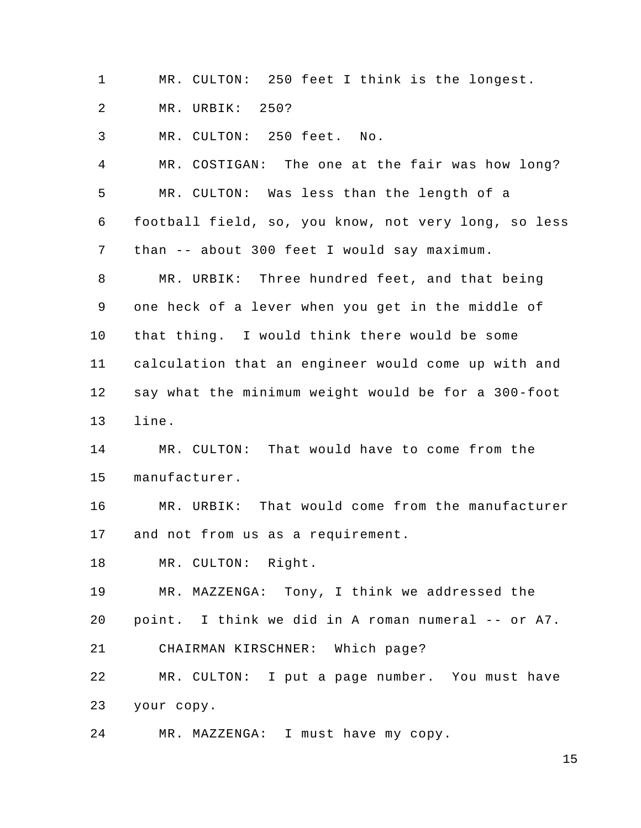1 MR. CULTON: 250 feet I think is the longest.

2 MR. URBIK: 250?

3 MR. CULTON: 250 feet. No.

4 5 6 7 8 9 10 11 12 13 MR. COSTIGAN: The one at the fair was how long? MR. CULTON: Was less than the length of a football field, so, you know, not very long, so less than -- about 300 feet I would say maximum. MR. URBIK: Three hundred feet, and that being one heck of a lever when you get in the middle of that thing. I would think there would be some calculation that an engineer would come up with and say what the minimum weight would be for a 300-foot line.

14 15 MR. CULTON: That would have to come from the manufacturer.

16 17 MR. URBIK: That would come from the manufacturer and not from us as a requirement.

18 MR. CULTON: Right.

19 MR. MAZZENGA: Tony, I think we addressed the

20 point. I think we did in A roman numeral -- or A7.

21 CHAIRMAN KIRSCHNER: Which page?

22 23 MR. CULTON: I put a page number. You must have your copy.

24 MR. MAZZENGA: I must have my copy.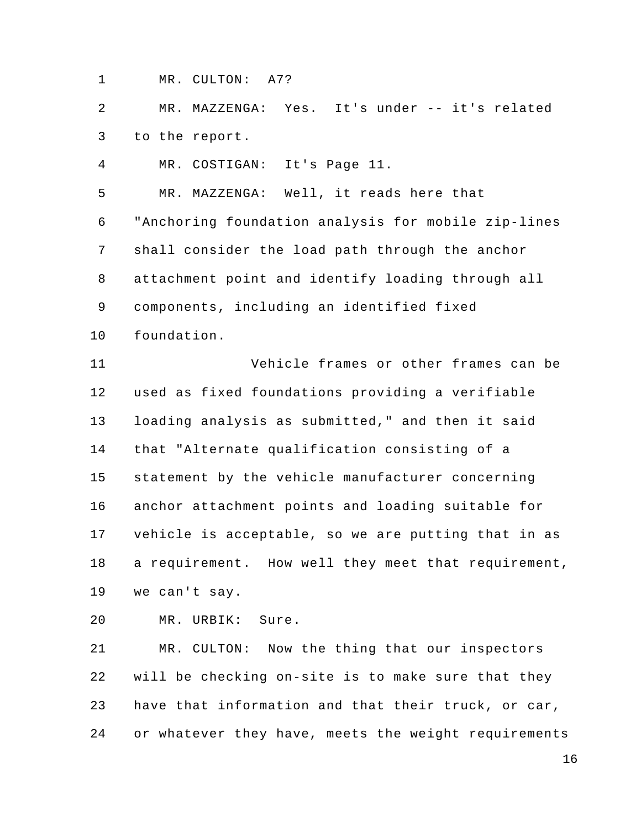1 MR. CULTON: A7?

2 3 MR. MAZZENGA: Yes. It's under -- it's related to the report.

4 MR. COSTIGAN: It's Page 11.

5 MR. MAZZENGA: Well, it reads here that

6 7 8 9 "Anchoring foundation analysis for mobile zip-lines shall consider the load path through the anchor attachment point and identify loading through all components, including an identified fixed

10 foundation.

11 12 13 14 15 16 17 18 19 Vehicle frames or other frames can be used as fixed foundations providing a verifiable loading analysis as submitted," and then it said that "Alternate qualification consisting of a statement by the vehicle manufacturer concerning anchor attachment points and loading suitable for vehicle is acceptable, so we are putting that in as a requirement. How well they meet that requirement, we can't say.

20 MR. URBIK: Sure.

21 22 23 24 MR. CULTON: Now the thing that our inspectors will be checking on-site is to make sure that they have that information and that their truck, or car, or whatever they have, meets the weight requirements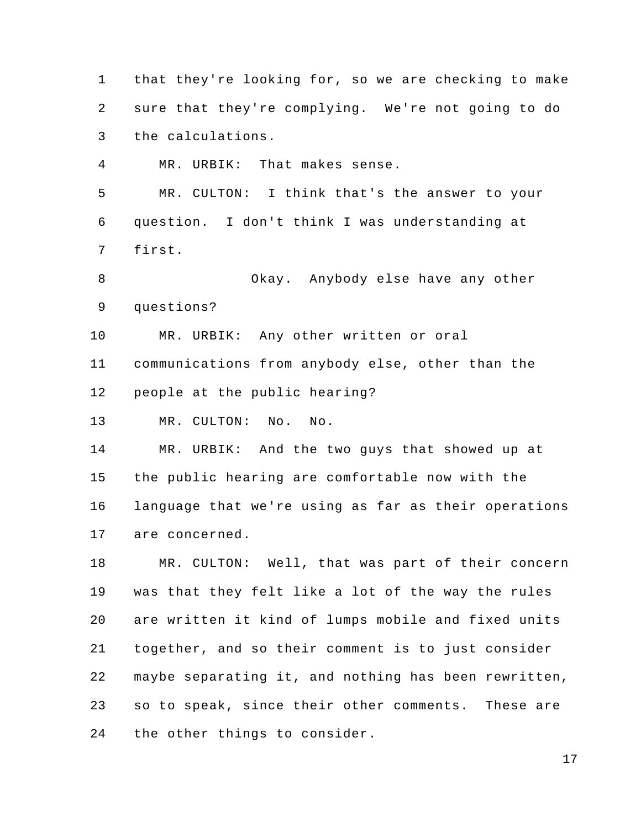1 2 3 4 5 6 7 8 9 10 11 12 13 14 15 16 17 18 19 20 21 22 23 24 that they're looking for, so we are checking to make sure that they're complying. We're not going to do the calculations. MR. URBIK: That makes sense. MR. CULTON: I think that's the answer to your question. I don't think I was understanding at first. Okay. Anybody else have any other questions? MR. URBIK: Any other written or oral communications from anybody else, other than the people at the public hearing? MR. CULTON: No. No. MR. URBIK: And the two guys that showed up at the public hearing are comfortable now with the language that we're using as far as their operations are concerned. MR. CULTON: Well, that was part of their concern was that they felt like a lot of the way the rules are written it kind of lumps mobile and fixed units together, and so their comment is to just consider maybe separating it, and nothing has been rewritten, so to speak, since their other comments. These are the other things to consider.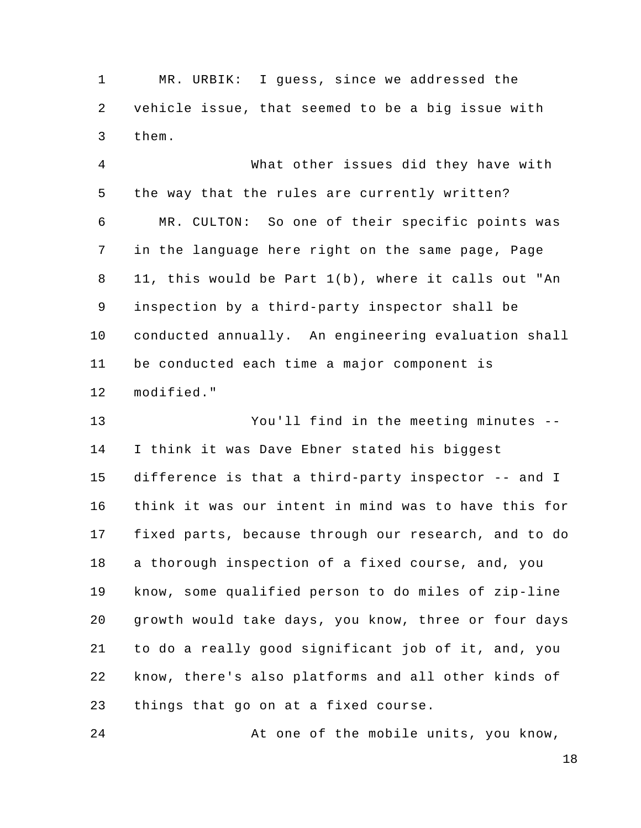1 2 3 MR. URBIK: I guess, since we addressed the vehicle issue, that seemed to be a big issue with them.

4 5 6 7 8 9 10 11 12 What other issues did they have with the way that the rules are currently written? MR. CULTON: So one of their specific points was in the language here right on the same page, Page 11, this would be Part 1(b), where it calls out "An inspection by a third-party inspector shall be conducted annually. An engineering evaluation shall be conducted each time a major component is modified."

13 14 15 16 17 18 19 20 21 22 23 You'll find in the meeting minutes --I think it was Dave Ebner stated his biggest difference is that a third-party inspector -- and I think it was our intent in mind was to have this for fixed parts, because through our research, and to do a thorough inspection of a fixed course, and, you know, some qualified person to do miles of zip-line growth would take days, you know, three or four days to do a really good significant job of it, and, you know, there's also platforms and all other kinds of things that go on at a fixed course.

24 At one of the mobile units, you know,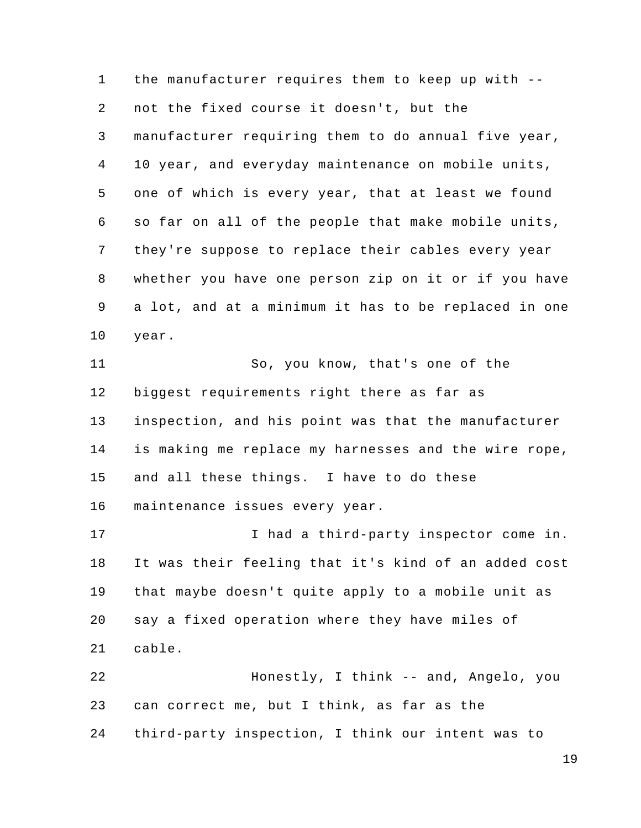1 2 3 4 5 6 7 8 9 10 11 12 13 14 15 16 17 18 19 20 21 22 23 24 the manufacturer requires them to keep up with - not the fixed course it doesn't, but the manufacturer requiring them to do annual five year, 10 year, and everyday maintenance on mobile units, one of which is every year, that at least we found so far on all of the people that make mobile units, they're suppose to replace their cables every year whether you have one person zip on it or if you have a lot, and at a minimum it has to be replaced in one year. So, you know, that's one of the biggest requirements right there as far as inspection, and his point was that the manufacturer is making me replace my harnesses and the wire rope, and all these things. I have to do these maintenance issues every year. I had a third-party inspector come in. It was their feeling that it's kind of an added cost that maybe doesn't quite apply to a mobile unit as say a fixed operation where they have miles of cable. Honestly, I think -- and, Angelo, you can correct me, but I think, as far as the third-party inspection, I think our intent was to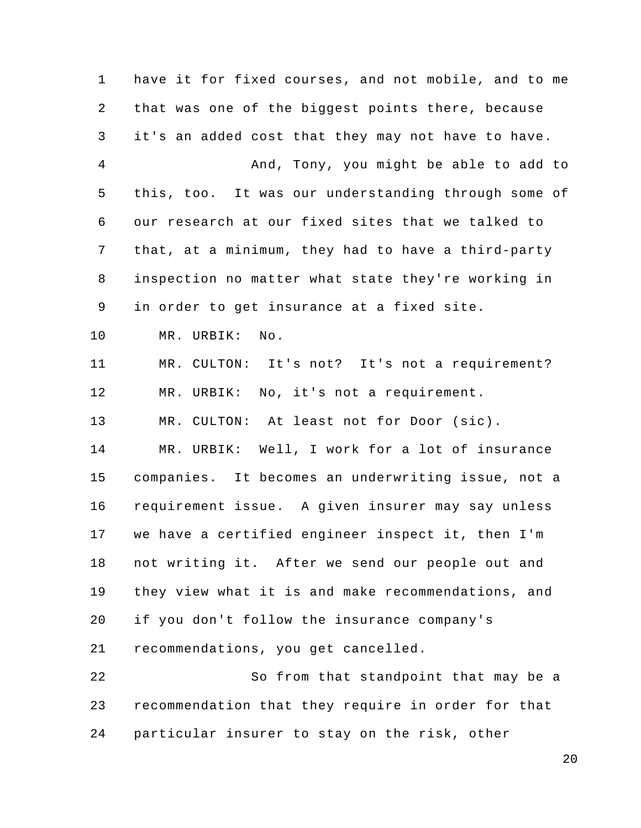1 2 3 4 5 6 7 8 9 10 11 12 13 14 15 16 17 18 19 20 21 22 23 24 have it for fixed courses, and not mobile, and to me that was one of the biggest points there, because it's an added cost that they may not have to have. And, Tony, you might be able to add to this, too. It was our understanding through some of our research at our fixed sites that we talked to that, at a minimum, they had to have a third-party inspection no matter what state they're working in in order to get insurance at a fixed site. MR. URBIK: No. MR. CULTON: It's not? It's not a requirement? MR. URBIK: No, it's not a requirement. MR. CULTON: At least not for Door (sic). MR. URBIK: Well, I work for a lot of insurance companies. It becomes an underwriting issue, not a requirement issue. A given insurer may say unless we have a certified engineer inspect it, then I'm not writing it. After we send our people out and they view what it is and make recommendations, and if you don't follow the insurance company's recommendations, you get cancelled. So from that standpoint that may be a recommendation that they require in order for that particular insurer to stay on the risk, other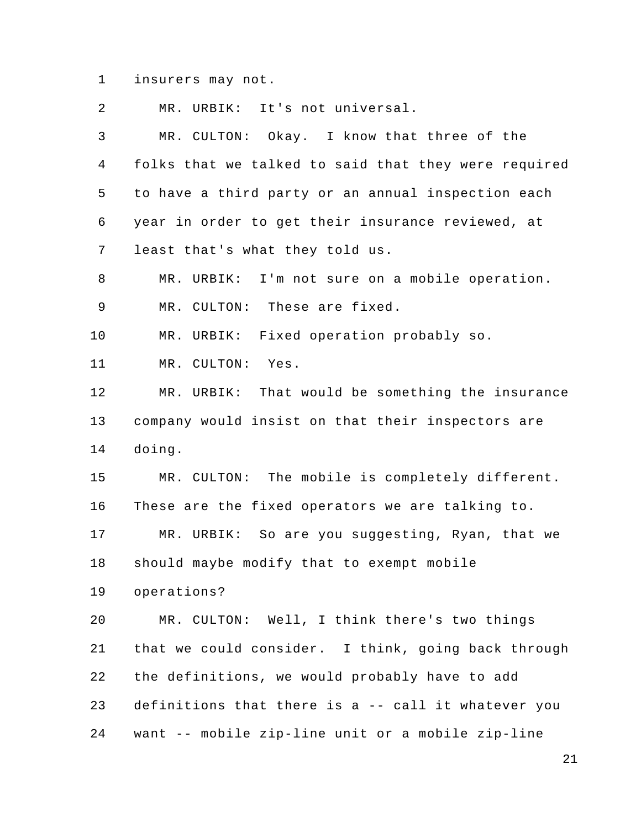1 insurers may not.

2 3 4 5 6 7 8 9 10 11 12 13 14 15 16 17 18 19 20 21 22 23 24 MR. URBIK: It's not universal. MR. CULTON: Okay. I know that three of the folks that we talked to said that they were required to have a third party or an annual inspection each year in order to get their insurance reviewed, at least that's what they told us. MR. URBIK: I'm not sure on a mobile operation. MR. CULTON: These are fixed. MR. URBIK: Fixed operation probably so. MR. CULTON: Yes. MR. URBIK: That would be something the insurance company would insist on that their inspectors are doing. MR. CULTON: The mobile is completely different. These are the fixed operators we are talking to. MR. URBIK: So are you suggesting, Ryan, that we should maybe modify that to exempt mobile operations? MR. CULTON: Well, I think there's two things that we could consider. I think, going back through the definitions, we would probably have to add definitions that there is a -- call it whatever you want -- mobile zip-line unit or a mobile zip-line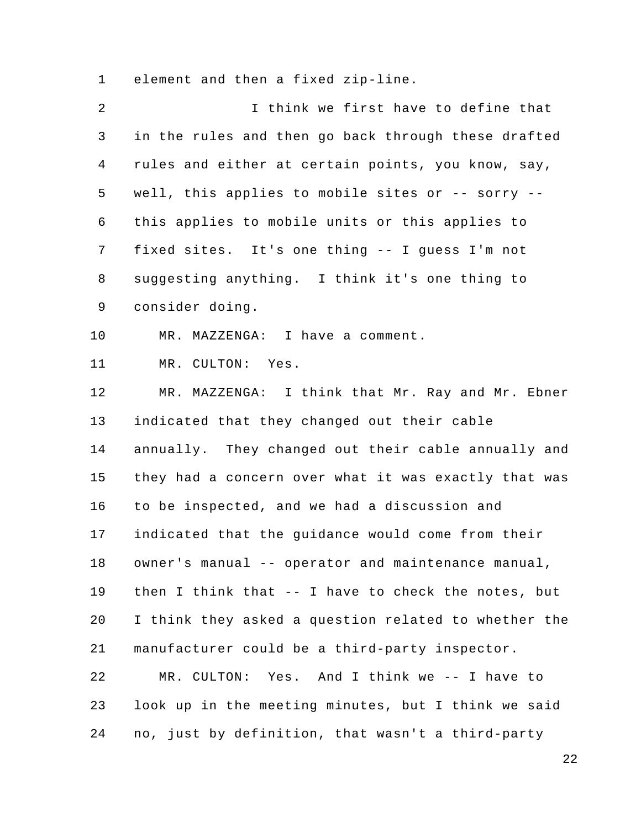1 element and then a fixed zip-line.

| 2            | I think we first have to define that                 |
|--------------|------------------------------------------------------|
| $\mathsf{3}$ | in the rules and then go back through these drafted  |
| 4            | rules and either at certain points, you know, say,   |
| 5            | well, this applies to mobile sites or -- sorry --    |
| 6            | this applies to mobile units or this applies to      |
| 7            | fixed sites. It's one thing -- I guess I'm not       |
| 8            | suggesting anything. I think it's one thing to       |
| 9            | consider doing.                                      |
| 10           | MR. MAZZENGA: I have a comment.                      |
| 11           | MR. CULTON: Yes.                                     |
| 12           | MR. MAZZENGA: I think that Mr. Ray and Mr. Ebner     |
| 13           | indicated that they changed out their cable          |
| 14           | annually. They changed out their cable annually and  |
| 15           | they had a concern over what it was exactly that was |
| 16           | to be inspected, and we had a discussion and         |
| 17           | indicated that the guidance would come from their    |
| 18           | owner's manual -- operator and maintenance manual,   |
| 19           | then I think that -- I have to check the notes, but  |
| 20           | I think they asked a question related to whether the |
| 21           | manufacturer could be a third-party inspector.       |
| 22           | MR. CULTON: Yes. And I think we -- I have to         |
| 23           | look up in the meeting minutes, but I think we said  |
| 24           | no, just by definition, that wasn't a third-party    |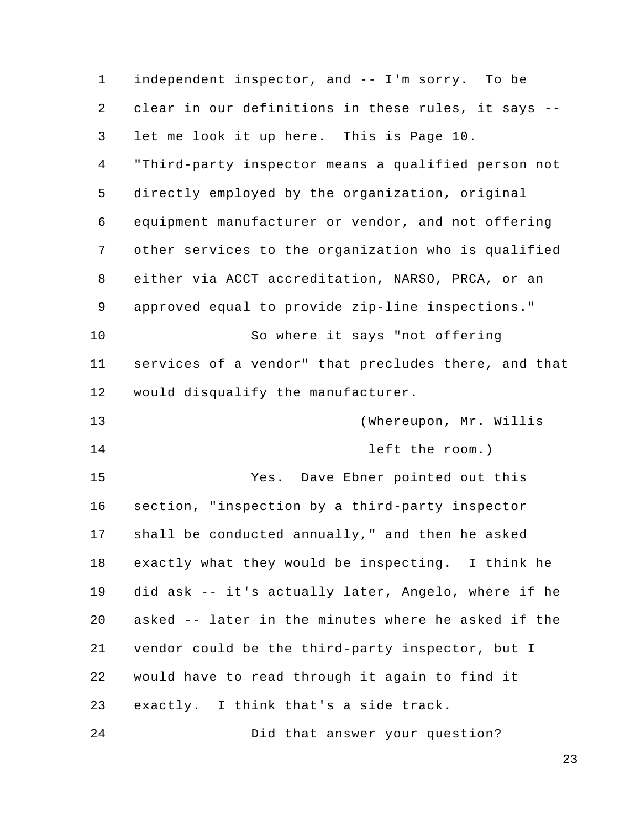1 2 3 4 5 6 7 8 9 10 11 12 13 14 15 16 17 18 19 20 21 22 23 24 independent inspector, and -- I'm sorry. To be clear in our definitions in these rules, it says - let me look it up here. This is Page 10. "Third-party inspector means a qualified person not directly employed by the organization, original equipment manufacturer or vendor, and not offering other services to the organization who is qualified either via ACCT accreditation, NARSO, PRCA, or an approved equal to provide zip-line inspections." So where it says "not offering services of a vendor" that precludes there, and that would disqualify the manufacturer. (Whereupon, Mr. Willis left the room.) Yes. Dave Ebner pointed out this section, "inspection by a third-party inspector shall be conducted annually," and then he asked exactly what they would be inspecting. I think he did ask -- it's actually later, Angelo, where if he asked -- later in the minutes where he asked if the vendor could be the third-party inspector, but I would have to read through it again to find it exactly. I think that's a side track. Did that answer your question?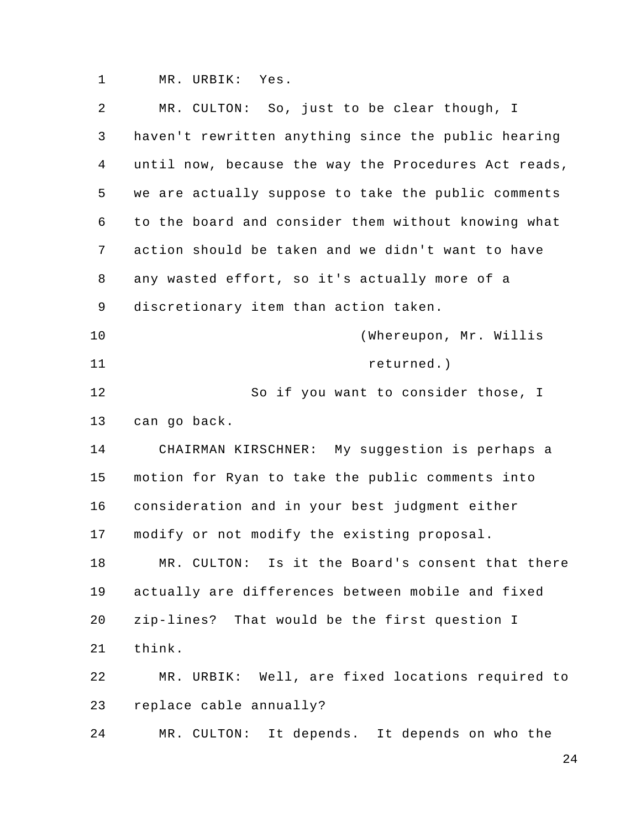1 MR. URBIK: Yes.

| 2              | MR. CULTON: So, just to be clear though, I           |
|----------------|------------------------------------------------------|
| 3              | haven't rewritten anything since the public hearing  |
| $\overline{4}$ | until now, because the way the Procedures Act reads, |
| 5              | we are actually suppose to take the public comments  |
| 6              | to the board and consider them without knowing what  |
| 7              | action should be taken and we didn't want to have    |
| 8              | any wasted effort, so it's actually more of a        |
| 9              | discretionary item than action taken.                |
| 10             | (Whereupon, Mr. Willis                               |
| 11             | returned.)                                           |
| 12             | So if you want to consider those, I                  |
| 13             | can go back.                                         |
| 14             | CHAIRMAN KIRSCHNER: My suggestion is perhaps a       |
| 15             | motion for Ryan to take the public comments into     |
| 16             | consideration and in your best judgment either       |
| 17             | modify or not modify the existing proposal.          |
| 18             | Is it the Board's consent that there<br>MR. CULTON:  |
| 19             | actually are differences between mobile and fixed    |
| 20             | zip-lines? That would be the first question I        |
| 21             | think.                                               |
| 22             | MR. URBIK: Well, are fixed locations required to     |
| 23             | replace cable annually?                              |
| 24             | It depends. It depends on who the<br>MR. CULTON:     |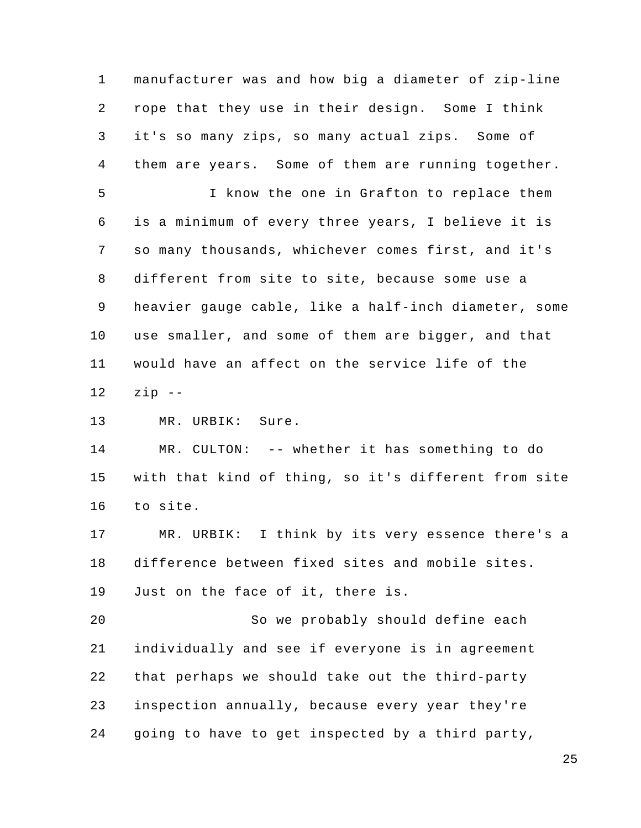1 2 3 4 5 6 7 8 9 10 11 12 manufacturer was and how big a diameter of zip-line rope that they use in their design. Some I think it's so many zips, so many actual zips. Some of them are years. Some of them are running together. I know the one in Grafton to replace them is a minimum of every three years, I believe it is so many thousands, whichever comes first, and it's different from site to site, because some use a heavier gauge cable, like a half-inch diameter, some use smaller, and some of them are bigger, and that would have an affect on the service life of the zip --

13 MR. URBIK: Sure.

14 15 16 MR. CULTON: -- whether it has something to do with that kind of thing, so it's different from site to site.

17 18 19 MR. URBIK: I think by its very essence there's a difference between fixed sites and mobile sites. Just on the face of it, there is.

20 21 22 23 24 So we probably should define each individually and see if everyone is in agreement that perhaps we should take out the third-party inspection annually, because every year they're going to have to get inspected by a third party,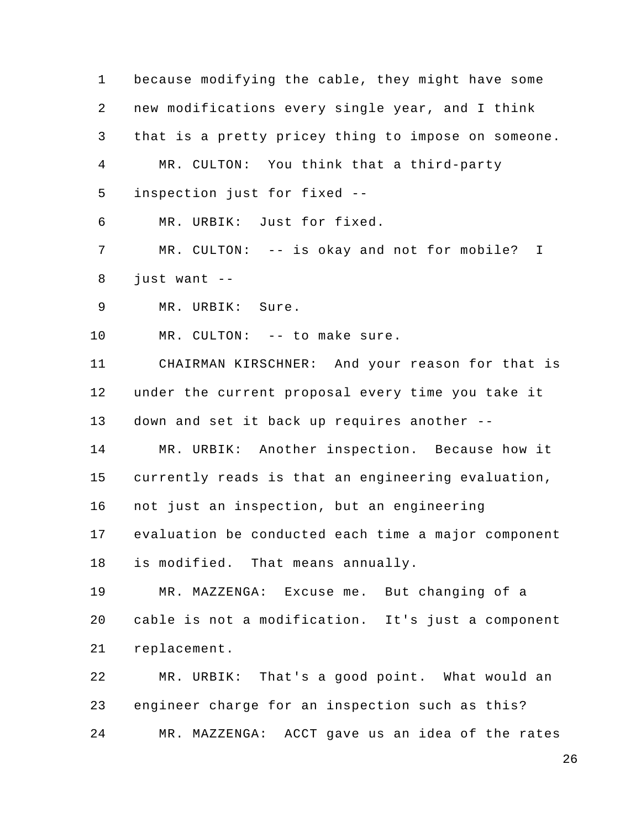1 2 3 4 5 6 7 8 9 10 11 12 13 14 15 16 17 18 19 20 21 22 23 24 because modifying the cable, they might have some new modifications every single year, and I think that is a pretty pricey thing to impose on someone. MR. CULTON: You think that a third-party inspection just for fixed -- MR. URBIK: Just for fixed. MR. CULTON: -- is okay and not for mobile? I just want -- MR. URBIK: Sure. MR. CULTON: -- to make sure. CHAIRMAN KIRSCHNER: And your reason for that is under the current proposal every time you take it down and set it back up requires another -- MR. URBIK: Another inspection. Because how it currently reads is that an engineering evaluation, not just an inspection, but an engineering evaluation be conducted each time a major component is modified. That means annually. MR. MAZZENGA: Excuse me. But changing of a cable is not a modification. It's just a component replacement. MR. URBIK: That's a good point. What would an engineer charge for an inspection such as this? MR. MAZZENGA: ACCT gave us an idea of the rates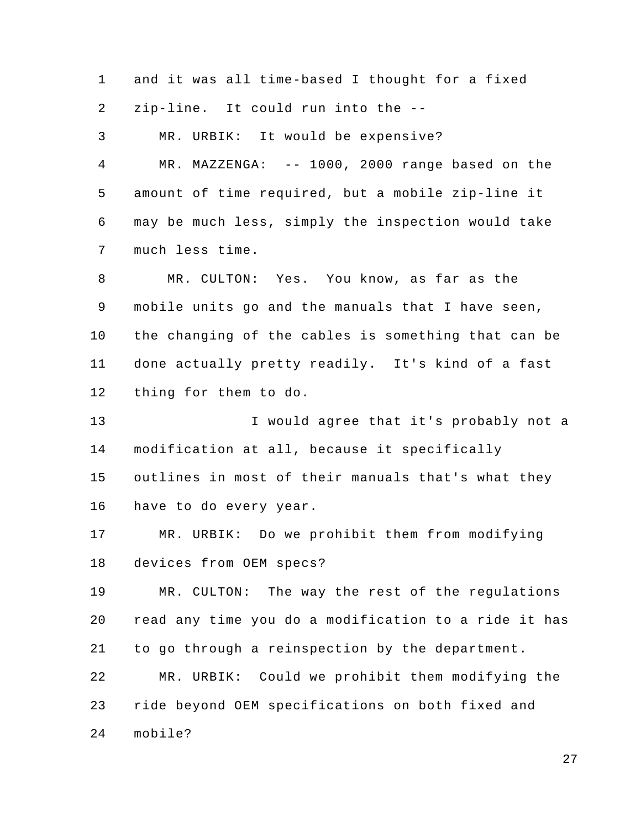1 2 and it was all time-based I thought for a fixed zip-line. It could run into the --

3 MR. URBIK: It would be expensive?

4 5 6 7 MR. MAZZENGA: -- 1000, 2000 range based on the amount of time required, but a mobile zip-line it may be much less, simply the inspection would take much less time.

8 9 10 11 12 MR. CULTON: Yes. You know, as far as the mobile units go and the manuals that I have seen, the changing of the cables is something that can be done actually pretty readily. It's kind of a fast thing for them to do.

13 14 15 16 I would agree that it's probably not a modification at all, because it specifically outlines in most of their manuals that's what they have to do every year.

17 18 MR. URBIK: Do we prohibit them from modifying devices from OEM specs?

19 20 21 22 MR. CULTON: The way the rest of the regulations read any time you do a modification to a ride it has to go through a reinspection by the department. MR. URBIK: Could we prohibit them modifying the

23 ride beyond OEM specifications on both fixed and

24 mobile?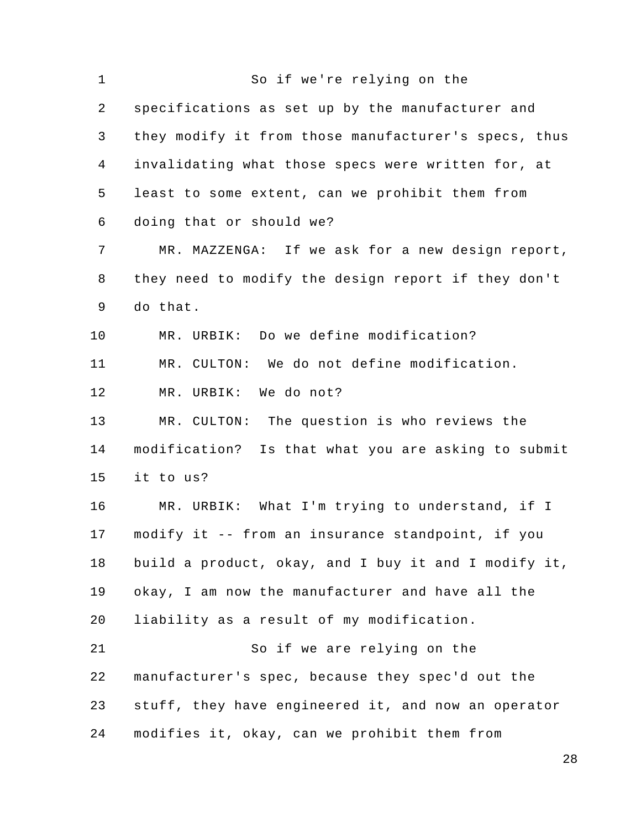1 2 3 4 5 6 7 8 9 10 11 12 13 14 15 16 17 18 19 20 21 22 23 24 So if we're relying on the specifications as set up by the manufacturer and they modify it from those manufacturer's specs, thus invalidating what those specs were written for, at least to some extent, can we prohibit them from doing that or should we? MR. MAZZENGA: If we ask for a new design report, they need to modify the design report if they don't do that. MR. URBIK: Do we define modification? MR. CULTON: We do not define modification. MR. URBIK: We do not? MR. CULTON: The question is who reviews the modification? Is that what you are asking to submit it to us? MR. URBIK: What I'm trying to understand, if I modify it -- from an insurance standpoint, if you build a product, okay, and I buy it and I modify it, okay, I am now the manufacturer and have all the liability as a result of my modification. So if we are relying on the manufacturer's spec, because they spec'd out the stuff, they have engineered it, and now an operator modifies it, okay, can we prohibit them from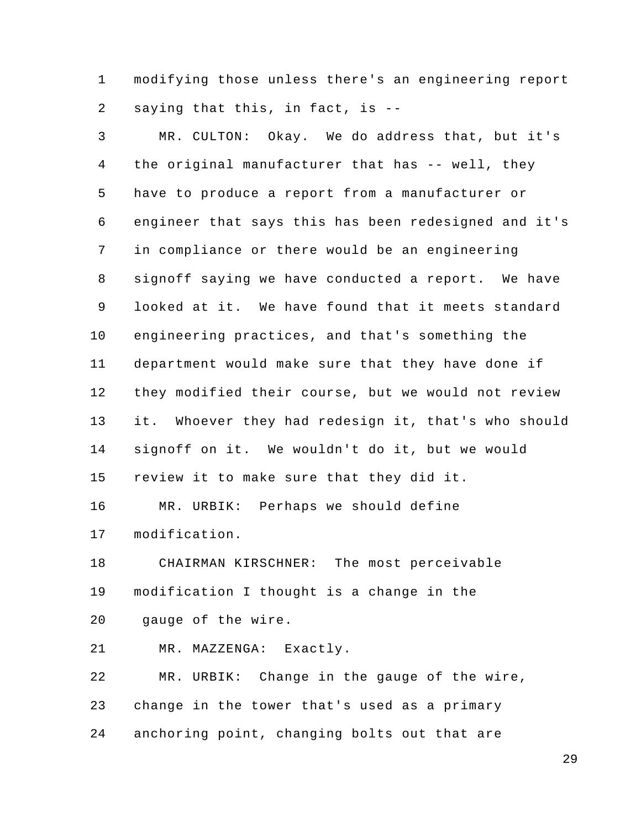1 2 modifying those unless there's an engineering report saying that this, in fact, is --

3 4 5 6 7 8 9 10 11 12 13 14 15 16 17 18 19 20 21 22 23 24 MR. CULTON: Okay. We do address that, but it's the original manufacturer that has -- well, they have to produce a report from a manufacturer or engineer that says this has been redesigned and it's in compliance or there would be an engineering signoff saying we have conducted a report. We have looked at it. We have found that it meets standard engineering practices, and that's something the department would make sure that they have done if they modified their course, but we would not review it. Whoever they had redesign it, that's who should signoff on it. We wouldn't do it, but we would review it to make sure that they did it. MR. URBIK: Perhaps we should define modification. CHAIRMAN KIRSCHNER: The most perceivable modification I thought is a change in the gauge of the wire. MR. MAZZENGA: Exactly. MR. URBIK: Change in the gauge of the wire, change in the tower that's used as a primary anchoring point, changing bolts out that are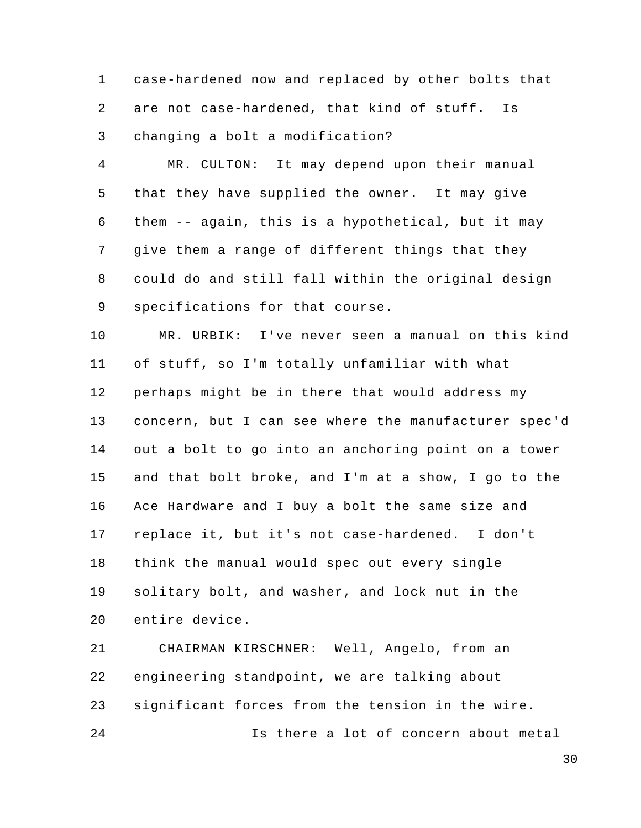1 2 3 case-hardened now and replaced by other bolts that are not case-hardened, that kind of stuff. Is changing a bolt a modification?

4 5 6 7 8 9 MR. CULTON: It may depend upon their manual that they have supplied the owner. It may give them -- again, this is a hypothetical, but it may give them a range of different things that they could do and still fall within the original design specifications for that course.

10 11 12 13 14 15 16 17 18 19 20 MR. URBIK: I've never seen a manual on this kind of stuff, so I'm totally unfamiliar with what perhaps might be in there that would address my concern, but I can see where the manufacturer spec'd out a bolt to go into an anchoring point on a tower and that bolt broke, and I'm at a show, I go to the Ace Hardware and I buy a bolt the same size and replace it, but it's not case-hardened. I don't think the manual would spec out every single solitary bolt, and washer, and lock nut in the entire device.

21 22 23 24 CHAIRMAN KIRSCHNER: Well, Angelo, from an engineering standpoint, we are talking about significant forces from the tension in the wire. Is there a lot of concern about metal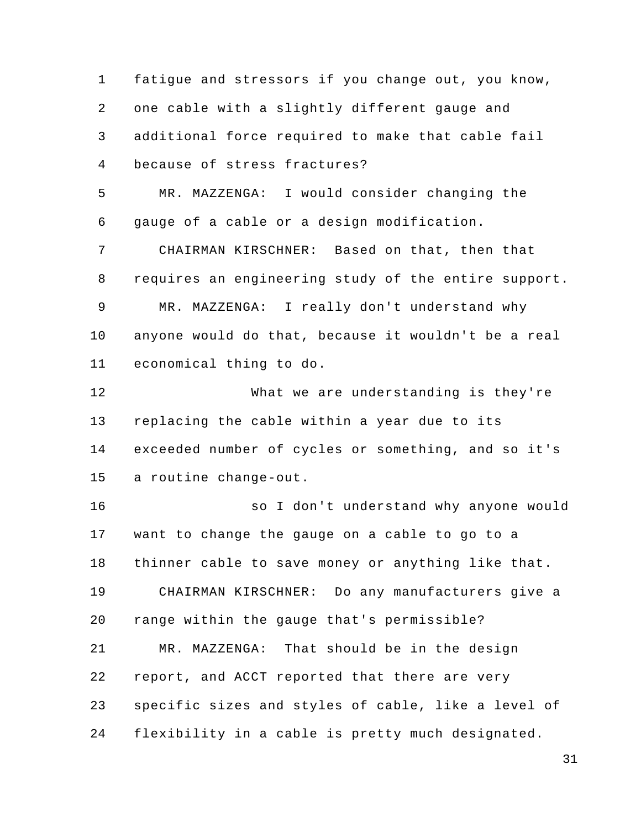1 2 3 4 5 6 7 8 9 10 11 12 13 14 15 16 17 18 19 20 21 22 23 24 fatigue and stressors if you change out, you know, one cable with a slightly different gauge and additional force required to make that cable fail because of stress fractures? MR. MAZZENGA: I would consider changing the gauge of a cable or a design modification. CHAIRMAN KIRSCHNER: Based on that, then that requires an engineering study of the entire support. MR. MAZZENGA: I really don't understand why anyone would do that, because it wouldn't be a real economical thing to do. What we are understanding is they're replacing the cable within a year due to its exceeded number of cycles or something, and so it's a routine change-out. so I don't understand why anyone would want to change the gauge on a cable to go to a thinner cable to save money or anything like that. CHAIRMAN KIRSCHNER: Do any manufacturers give a range within the gauge that's permissible? MR. MAZZENGA: That should be in the design report, and ACCT reported that there are very specific sizes and styles of cable, like a level of flexibility in a cable is pretty much designated.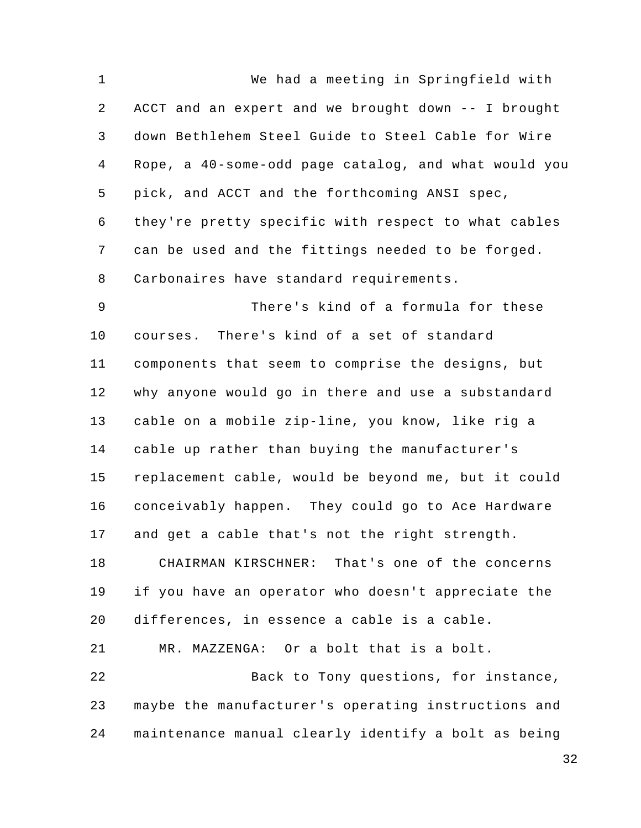1 2 3 4 5 6 7 8 9 10 11 12 13 14 15 16 17 18 19 20 21 22 23 24 We had a meeting in Springfield with ACCT and an expert and we brought down -- I brought down Bethlehem Steel Guide to Steel Cable for Wire Rope, a 40-some-odd page catalog, and what would you pick, and ACCT and the forthcoming ANSI spec, they're pretty specific with respect to what cables can be used and the fittings needed to be forged. Carbonaires have standard requirements. There's kind of a formula for these courses. There's kind of a set of standard components that seem to comprise the designs, but why anyone would go in there and use a substandard cable on a mobile zip-line, you know, like rig a cable up rather than buying the manufacturer's replacement cable, would be beyond me, but it could conceivably happen. They could go to Ace Hardware and get a cable that's not the right strength. CHAIRMAN KIRSCHNER: That's one of the concerns if you have an operator who doesn't appreciate the differences, in essence a cable is a cable. MR. MAZZENGA: Or a bolt that is a bolt. Back to Tony questions, for instance, maybe the manufacturer's operating instructions and maintenance manual clearly identify a bolt as being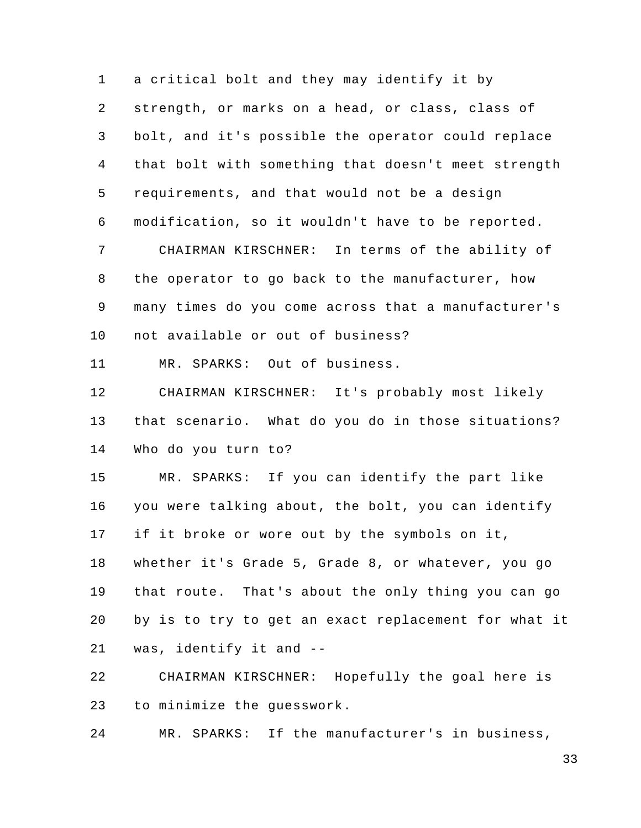1 2 3 4 5 6 7 8 9 10 a critical bolt and they may identify it by strength, or marks on a head, or class, class of bolt, and it's possible the operator could replace that bolt with something that doesn't meet strength requirements, and that would not be a design modification, so it wouldn't have to be reported. CHAIRMAN KIRSCHNER: In terms of the ability of the operator to go back to the manufacturer, how many times do you come across that a manufacturer's not available or out of business?

11 MR. SPARKS: Out of business.

12 13 14 CHAIRMAN KIRSCHNER: It's probably most likely that scenario. What do you do in those situations? Who do you turn to?

15 16 17 18 19 20 21 MR. SPARKS: If you can identify the part like you were talking about, the bolt, you can identify if it broke or wore out by the symbols on it, whether it's Grade 5, Grade 8, or whatever, you go that route. That's about the only thing you can go by is to try to get an exact replacement for what it was, identify it and --

22 23 CHAIRMAN KIRSCHNER: Hopefully the goal here is to minimize the guesswork.

24 MR. SPARKS: If the manufacturer's in business,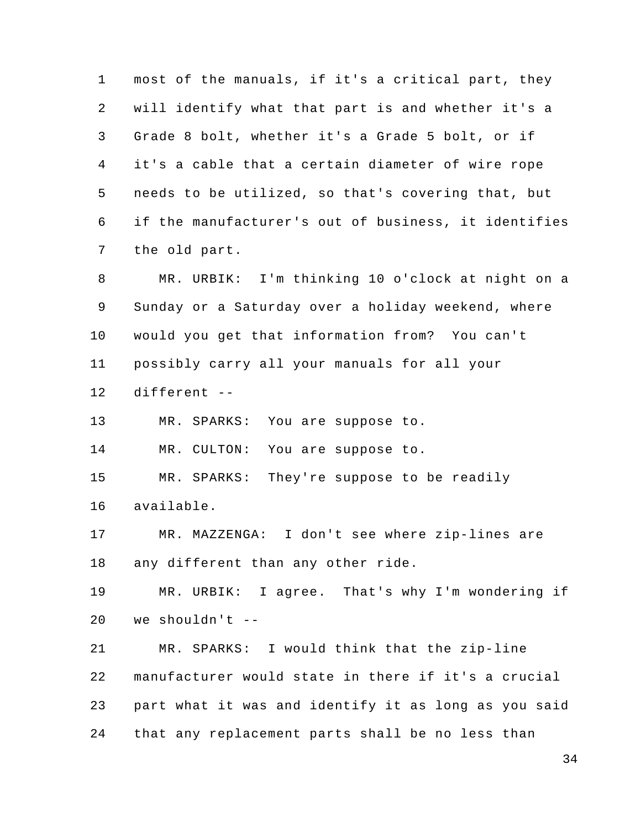1 2 3 4 5 6 7 8 9 10 11 12 13 14 most of the manuals, if it's a critical part, they will identify what that part is and whether it's a Grade 8 bolt, whether it's a Grade 5 bolt, or if it's a cable that a certain diameter of wire rope needs to be utilized, so that's covering that, but if the manufacturer's out of business, it identifies the old part. MR. URBIK: I'm thinking 10 o'clock at night on a Sunday or a Saturday over a holiday weekend, where would you get that information from? You can't possibly carry all your manuals for all your different -- MR. SPARKS: You are suppose to. MR. CULTON: You are suppose to.

15 MR. SPARKS: They're suppose to be readily

16 available.

17 18 MR. MAZZENGA: I don't see where zip-lines are any different than any other ride.

19 20 MR. URBIK: I agree. That's why I'm wondering if we shouldn't --

21 22 23 24 MR. SPARKS: I would think that the zip-line manufacturer would state in there if it's a crucial part what it was and identify it as long as you said that any replacement parts shall be no less than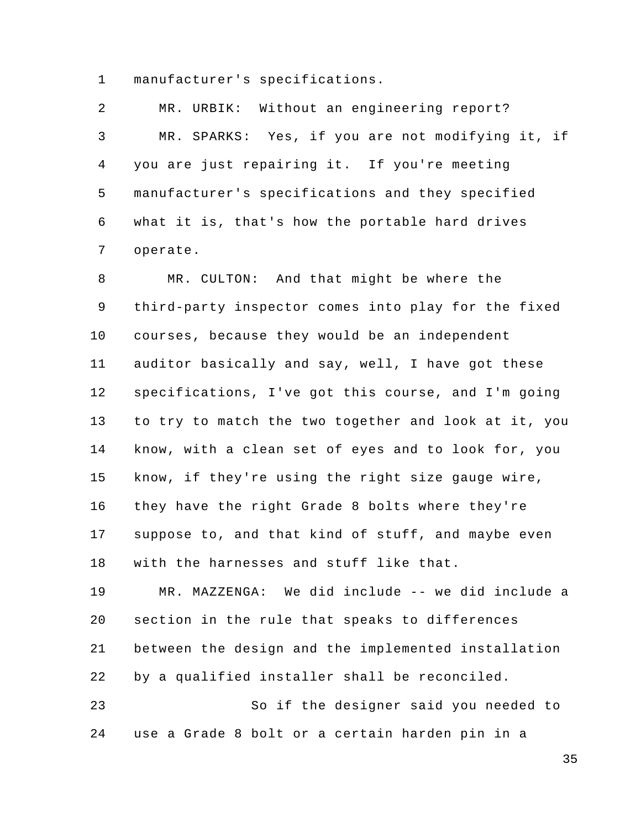1 manufacturer's specifications.

2 3 4 5 6 7 MR. URBIK: Without an engineering report? MR. SPARKS: Yes, if you are not modifying it, if you are just repairing it. If you're meeting manufacturer's specifications and they specified what it is, that's how the portable hard drives operate.

8 9 10 11 12 13 14 15 16 17 18 19 MR. CULTON: And that might be where the third-party inspector comes into play for the fixed courses, because they would be an independent auditor basically and say, well, I have got these specifications, I've got this course, and I'm going to try to match the two together and look at it, you know, with a clean set of eyes and to look for, you know, if they're using the right size gauge wire, they have the right Grade 8 bolts where they're suppose to, and that kind of stuff, and maybe even with the harnesses and stuff like that. MR. MAZZENGA: We did include -- we did include a

20 21 22 section in the rule that speaks to differences between the design and the implemented installation by a qualified installer shall be reconciled.

23 24 So if the designer said you needed to use a Grade 8 bolt or a certain harden pin in a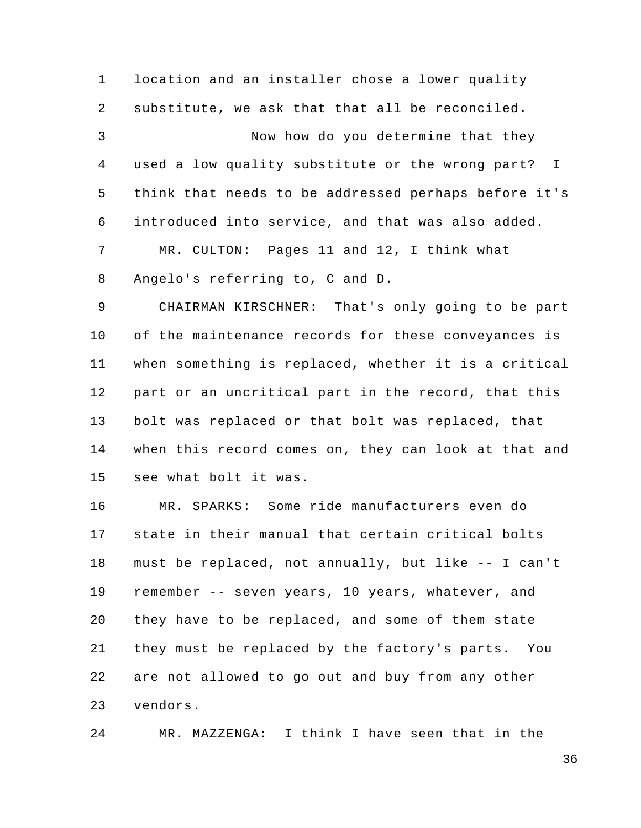1 2 3 4 5 6 7 8 location and an installer chose a lower quality substitute, we ask that that all be reconciled. Now how do you determine that they used a low quality substitute or the wrong part? I think that needs to be addressed perhaps before it's introduced into service, and that was also added. MR. CULTON: Pages 11 and 12, I think what Angelo's referring to, C and D.

9 10 11 12 13 14 15 CHAIRMAN KIRSCHNER: That's only going to be part of the maintenance records for these conveyances is when something is replaced, whether it is a critical part or an uncritical part in the record, that this bolt was replaced or that bolt was replaced, that when this record comes on, they can look at that and see what bolt it was.

16 17 18 19 20 21 22 23 MR. SPARKS: Some ride manufacturers even do state in their manual that certain critical bolts must be replaced, not annually, but like -- I can't remember -- seven years, 10 years, whatever, and they have to be replaced, and some of them state they must be replaced by the factory's parts. You are not allowed to go out and buy from any other vendors.

24 MR. MAZZENGA: I think I have seen that in the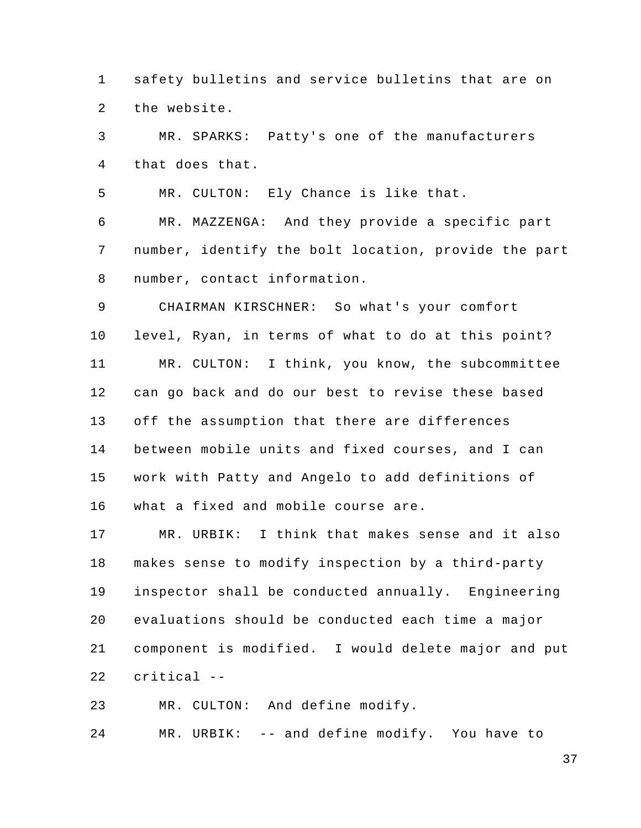1 2 safety bulletins and service bulletins that are on the website.

3 4 MR. SPARKS: Patty's one of the manufacturers that does that.

5 MR. CULTON: Ely Chance is like that.

6 7 8 MR. MAZZENGA: And they provide a specific part number, identify the bolt location, provide the part number, contact information.

9 10 11 12 13 14 15 16 CHAIRMAN KIRSCHNER: So what's your comfort level, Ryan, in terms of what to do at this point? MR. CULTON: I think, you know, the subcommittee can go back and do our best to revise these based off the assumption that there are differences between mobile units and fixed courses, and I can work with Patty and Angelo to add definitions of what a fixed and mobile course are.

17 18 19 20 21 22 MR. URBIK: I think that makes sense and it also makes sense to modify inspection by a third-party inspector shall be conducted annually. Engineering evaluations should be conducted each time a major component is modified. I would delete major and put critical --

23 MR. CULTON: And define modify.

24 MR. URBIK: -- and define modify. You have to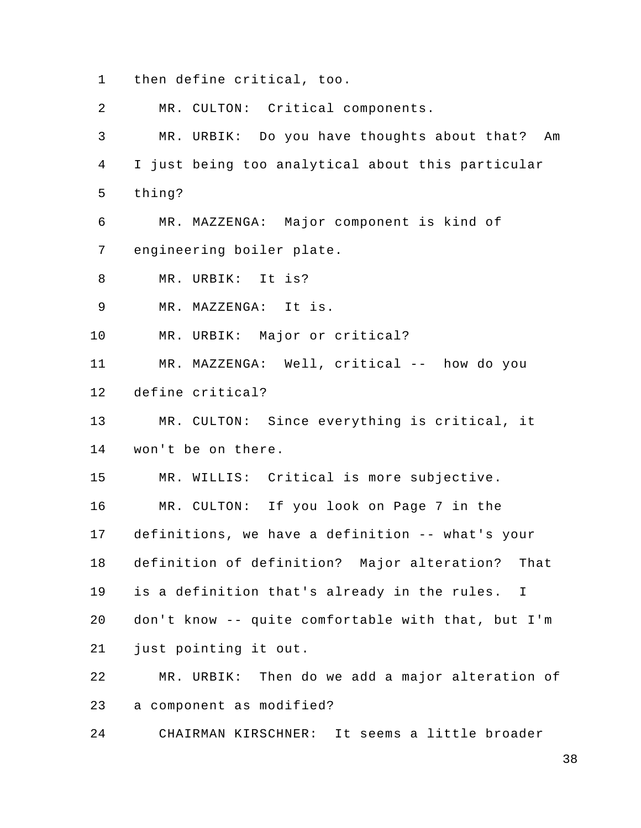1 then define critical, too.

2 MR. CULTON: Critical components.

3 4 5 MR. URBIK: Do you have thoughts about that? Am I just being too analytical about this particular thing?

6 7 MR. MAZZENGA: Major component is kind of engineering boiler plate.

8 MR. URBIK: It is?

9 MR. MAZZENGA: It is.

10 MR. URBIK: Major or critical?

11 12 MR. MAZZENGA: Well, critical -- how do you define critical?

13 14 MR. CULTON: Since everything is critical, it won't be on there.

15 MR. WILLIS: Critical is more subjective.

16 17 18 19 20 21 MR. CULTON: If you look on Page 7 in the definitions, we have a definition -- what's your definition of definition? Major alteration? That is a definition that's already in the rules. I don't know -- quite comfortable with that, but I'm just pointing it out.

22 23 MR. URBIK: Then do we add a major alteration of a component as modified?

24 CHAIRMAN KIRSCHNER: It seems a little broader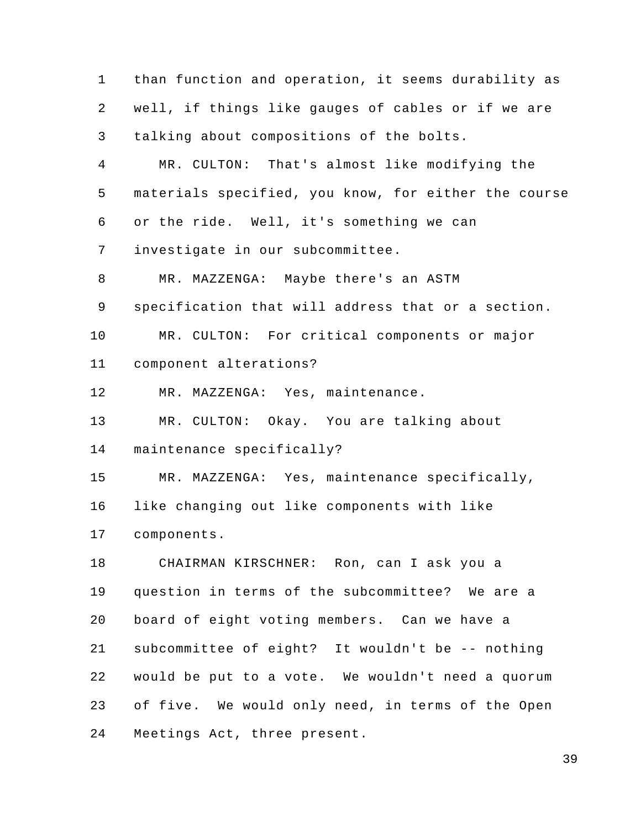1 2 3 4 5 6 7 8 9 10 11 12 13 14 15 16 17 18 19 20 21 22 23 24 than function and operation, it seems durability as well, if things like gauges of cables or if we are talking about compositions of the bolts. MR. CULTON: That's almost like modifying the materials specified, you know, for either the course or the ride. Well, it's something we can investigate in our subcommittee. MR. MAZZENGA: Maybe there's an ASTM specification that will address that or a section. MR. CULTON: For critical components or major component alterations? MR. MAZZENGA: Yes, maintenance. MR. CULTON: Okay. You are talking about maintenance specifically? MR. MAZZENGA: Yes, maintenance specifically, like changing out like components with like components. CHAIRMAN KIRSCHNER: Ron, can I ask you a question in terms of the subcommittee? We are a board of eight voting members. Can we have a subcommittee of eight? It wouldn't be -- nothing would be put to a vote. We wouldn't need a quorum of five. We would only need, in terms of the Open Meetings Act, three present.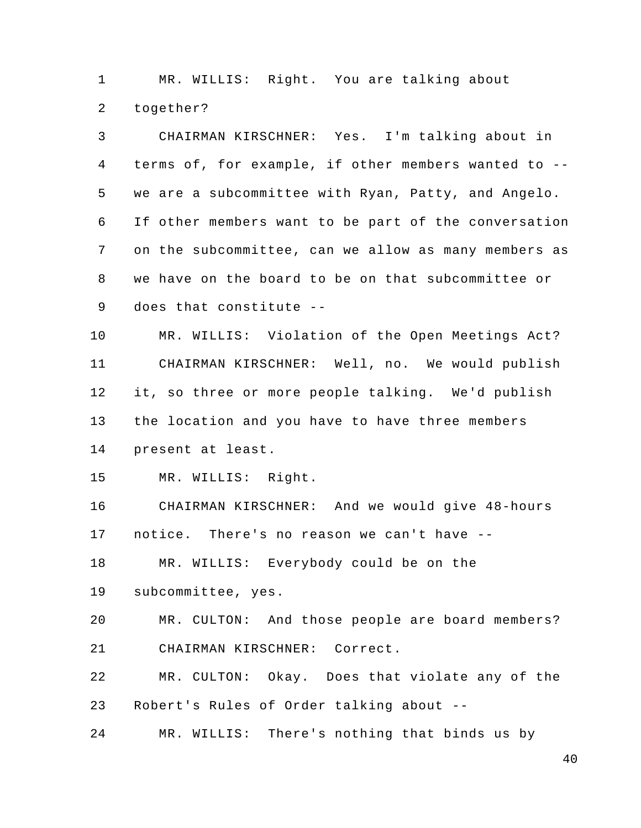1 2 MR. WILLIS: Right. You are talking about together?

3 4 5 6 7 8 9 10 11 12 13 14 15 16 17 18 19 20 21 22 23 24 CHAIRMAN KIRSCHNER: Yes. I'm talking about in terms of, for example, if other members wanted to - we are a subcommittee with Ryan, Patty, and Angelo. If other members want to be part of the conversation on the subcommittee, can we allow as many members as we have on the board to be on that subcommittee or does that constitute -- MR. WILLIS: Violation of the Open Meetings Act? CHAIRMAN KIRSCHNER: Well, no. We would publish it, so three or more people talking. We'd publish the location and you have to have three members present at least. MR. WILLIS: Right. CHAIRMAN KIRSCHNER: And we would give 48-hours notice. There's no reason we can't have -- MR. WILLIS: Everybody could be on the subcommittee, yes. MR. CULTON: And those people are board members? CHAIRMAN KIRSCHNER: Correct. MR. CULTON: Okay. Does that violate any of the Robert's Rules of Order talking about -- MR. WILLIS: There's nothing that binds us by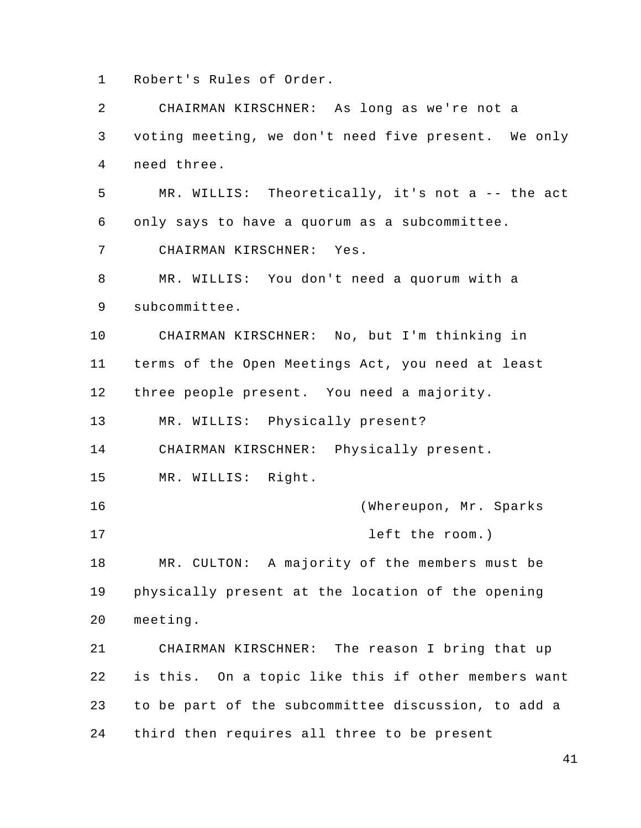1 Robert's Rules of Order.

2 3 4 5 6 7 8 9 10 11 12 13 14 15 16 17 18 19 20 21 22 23 24 CHAIRMAN KIRSCHNER: As long as we're not a voting meeting, we don't need five present. We only need three. MR. WILLIS: Theoretically, it's not a -- the act only says to have a quorum as a subcommittee. CHAIRMAN KIRSCHNER: Yes. MR. WILLIS: You don't need a quorum with a subcommittee. CHAIRMAN KIRSCHNER: No, but I'm thinking in terms of the Open Meetings Act, you need at least three people present. You need a majority. MR. WILLIS: Physically present? CHAIRMAN KIRSCHNER: Physically present. MR. WILLIS: Right. (Whereupon, Mr. Sparks left the room.) MR. CULTON: A majority of the members must be physically present at the location of the opening meeting. CHAIRMAN KIRSCHNER: The reason I bring that up is this. On a topic like this if other members want to be part of the subcommittee discussion, to add a third then requires all three to be present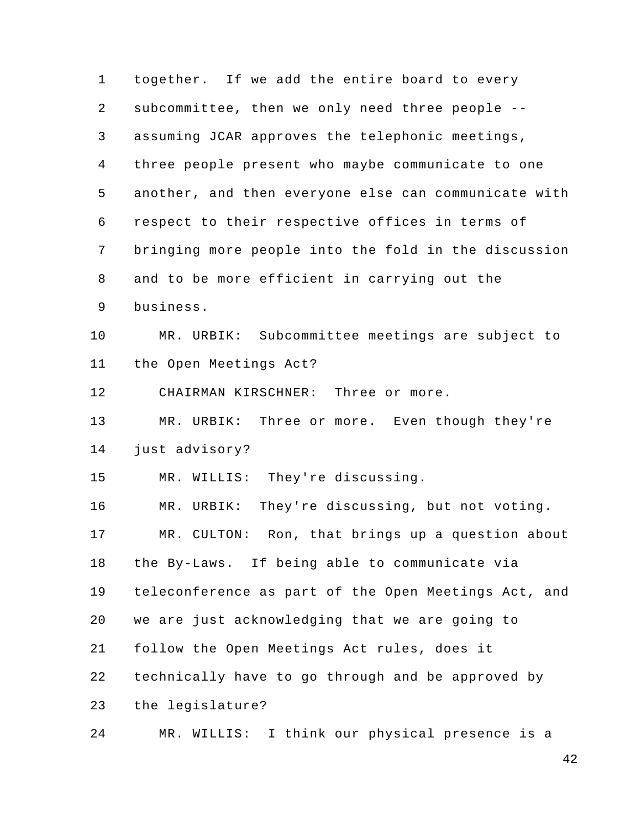1 2 3 4 5 6 7 8 9 10 11 12 13 14 15 16 17 18 19 20 21 22 23 24 together. If we add the entire board to every subcommittee, then we only need three people - assuming JCAR approves the telephonic meetings, three people present who maybe communicate to one another, and then everyone else can communicate with respect to their respective offices in terms of bringing more people into the fold in the discussion and to be more efficient in carrying out the business. MR. URBIK: Subcommittee meetings are subject to the Open Meetings Act? CHAIRMAN KIRSCHNER: Three or more. MR. URBIK: Three or more. Even though they're just advisory? MR. WILLIS: They're discussing. MR. URBIK: They're discussing, but not voting. MR. CULTON: Ron, that brings up a question about the By-Laws. If being able to communicate via teleconference as part of the Open Meetings Act, and we are just acknowledging that we are going to follow the Open Meetings Act rules, does it technically have to go through and be approved by the legislature? MR. WILLIS: I think our physical presence is a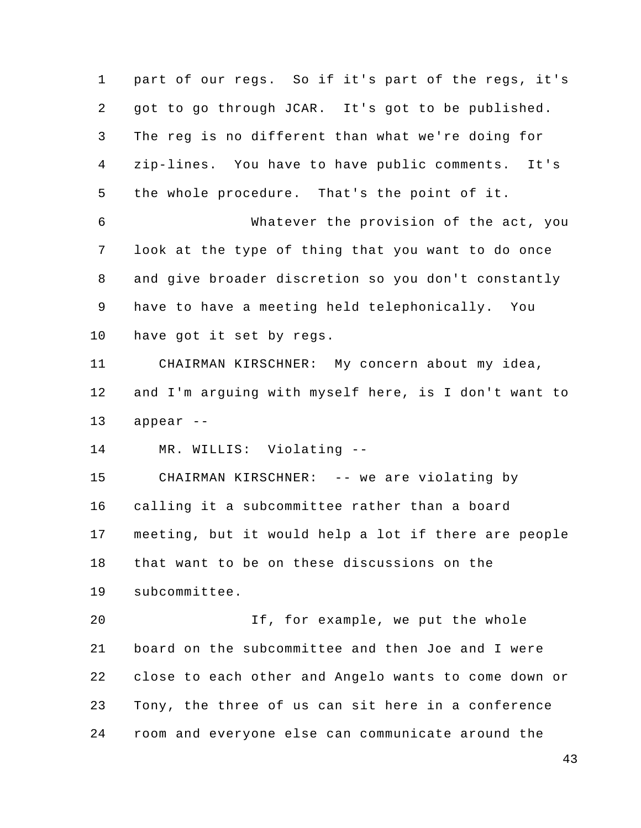1 2 3 4 5 6 7 8 9 10 11 12 13 14 15 16 17 18 19 20 21 22 23 24 part of our regs. So if it's part of the regs, it's got to go through JCAR. It's got to be published. The reg is no different than what we're doing for zip-lines. You have to have public comments. It's the whole procedure. That's the point of it. Whatever the provision of the act, you look at the type of thing that you want to do once and give broader discretion so you don't constantly have to have a meeting held telephonically. You have got it set by regs. CHAIRMAN KIRSCHNER: My concern about my idea, and I'm arguing with myself here, is I don't want to appear -- MR. WILLIS: Violating -- CHAIRMAN KIRSCHNER: -- we are violating by calling it a subcommittee rather than a board meeting, but it would help a lot if there are people that want to be on these discussions on the subcommittee. If, for example, we put the whole board on the subcommittee and then Joe and I were close to each other and Angelo wants to come down or Tony, the three of us can sit here in a conference room and everyone else can communicate around the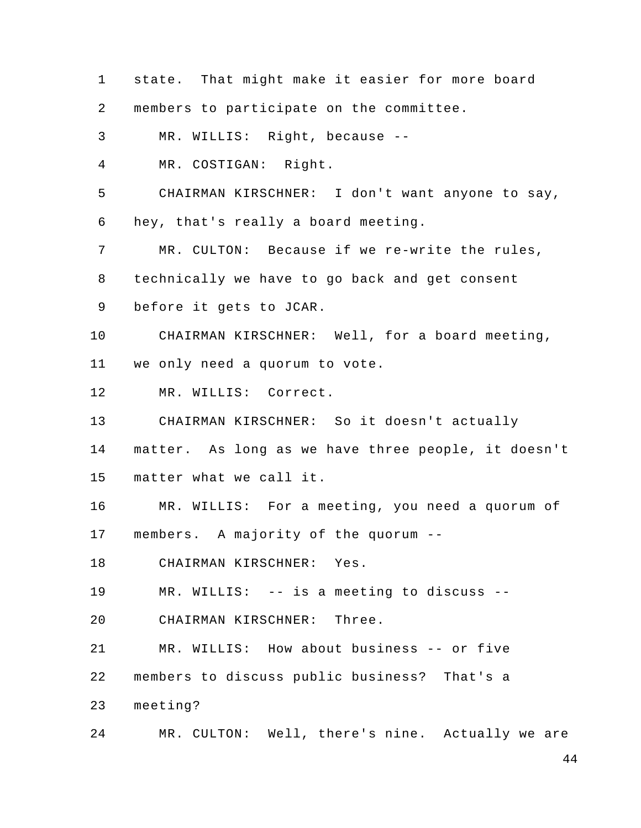1 2 3 4 5 6 7 8 9 10 11 12 13 14 15 16 17 18 19 20 21 22 23 24 state. That might make it easier for more board members to participate on the committee. MR. WILLIS: Right, because -- MR. COSTIGAN: Right. CHAIRMAN KIRSCHNER: I don't want anyone to say, hey, that's really a board meeting. MR. CULTON: Because if we re-write the rules, technically we have to go back and get consent before it gets to JCAR. CHAIRMAN KIRSCHNER: Well, for a board meeting, we only need a quorum to vote. MR. WILLIS: Correct. CHAIRMAN KIRSCHNER: So it doesn't actually matter. As long as we have three people, it doesn't matter what we call it. MR. WILLIS: For a meeting, you need a quorum of members. A majority of the quorum -- CHAIRMAN KIRSCHNER: Yes. MR. WILLIS: -- is a meeting to discuss -- CHAIRMAN KIRSCHNER: Three. MR. WILLIS: How about business -- or five members to discuss public business? That's a meeting? MR. CULTON: Well, there's nine. Actually we are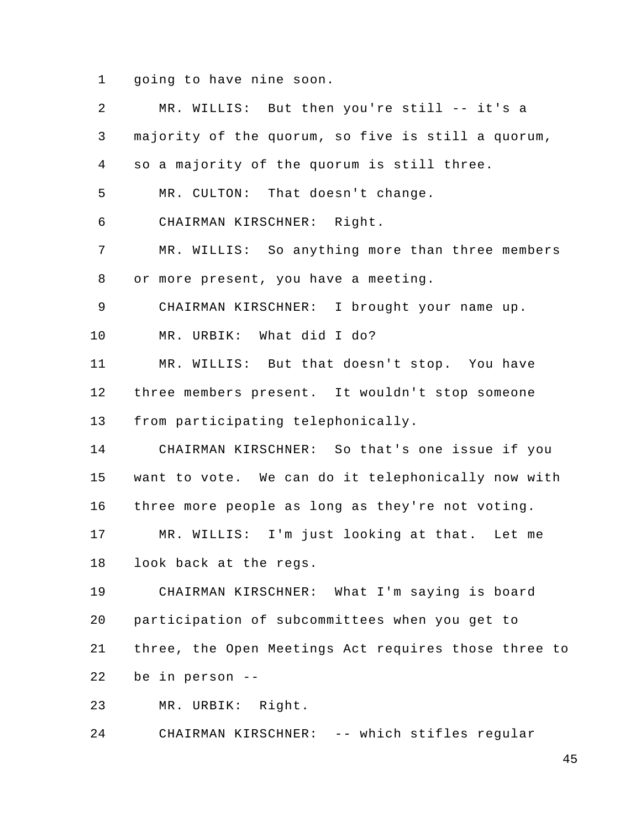1 going to have nine soon.

| 2  | MR. WILLIS: But then you're still -- it's a          |
|----|------------------------------------------------------|
| 3  | majority of the quorum, so five is still a quorum,   |
| 4  | so a majority of the quorum is still three.          |
| 5  | MR. CULTON: That doesn't change.                     |
| 6  | CHAIRMAN KIRSCHNER: Right.                           |
| 7  | MR. WILLIS: So anything more than three members      |
| 8  | or more present, you have a meeting.                 |
| 9  | CHAIRMAN KIRSCHNER: I brought your name up.          |
| 10 | MR. URBIK: What did I do?                            |
| 11 | MR. WILLIS: But that doesn't stop. You have          |
| 12 | three members present. It wouldn't stop someone      |
| 13 | from participating telephonically.                   |
| 14 | CHAIRMAN KIRSCHNER: So that's one issue if you       |
| 15 | want to vote. We can do it telephonically now with   |
| 16 | three more people as long as they're not voting.     |
| 17 | MR. WILLIS: I'm just looking at that. Let me         |
| 18 | look back at the regs.                               |
| 19 | CHAIRMAN KIRSCHNER: What I'm saying is board         |
| 20 | participation of subcommittees when you get to       |
| 21 | three, the Open Meetings Act requires those three to |
| 22 | be in person --                                      |
| 23 | MR. URBIK: Right.                                    |

24 CHAIRMAN KIRSCHNER: -- which stifles regular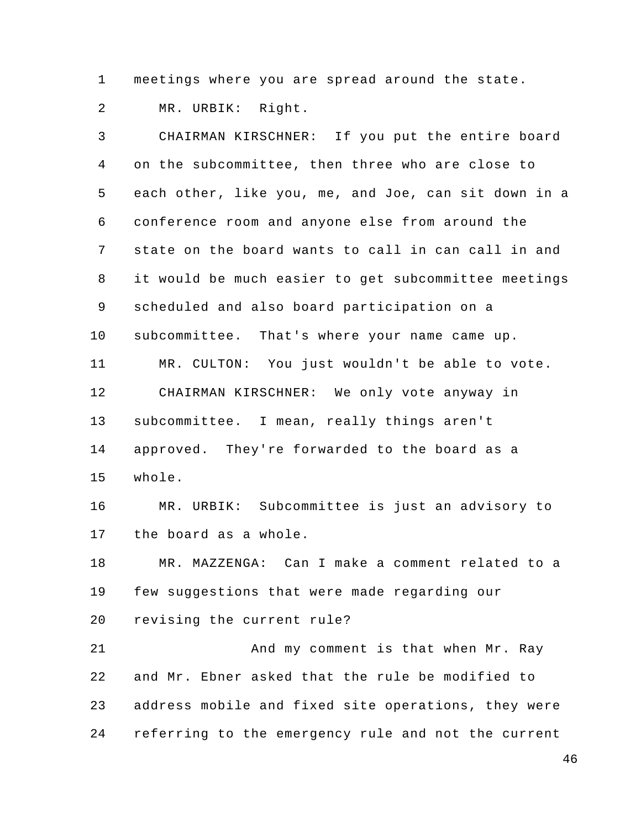1 meetings where you are spread around the state.

2 MR. URBIK: Right.

22

3 4 5 6 7 8 9 10 11 12 13 14 15 16 17 18 19 20 21 CHAIRMAN KIRSCHNER: If you put the entire board on the subcommittee, then three who are close to each other, like you, me, and Joe, can sit down in a conference room and anyone else from around the state on the board wants to call in can call in and it would be much easier to get subcommittee meetings scheduled and also board participation on a subcommittee. That's where your name came up. MR. CULTON: You just wouldn't be able to vote. CHAIRMAN KIRSCHNER: We only vote anyway in subcommittee. I mean, really things aren't approved. They're forwarded to the board as a whole. MR. URBIK: Subcommittee is just an advisory to the board as a whole. MR. MAZZENGA: Can I make a comment related to a few suggestions that were made regarding our revising the current rule? And my comment is that when Mr. Ray

23 24 address mobile and fixed site operations, they were referring to the emergency rule and not the current

and Mr. Ebner asked that the rule be modified to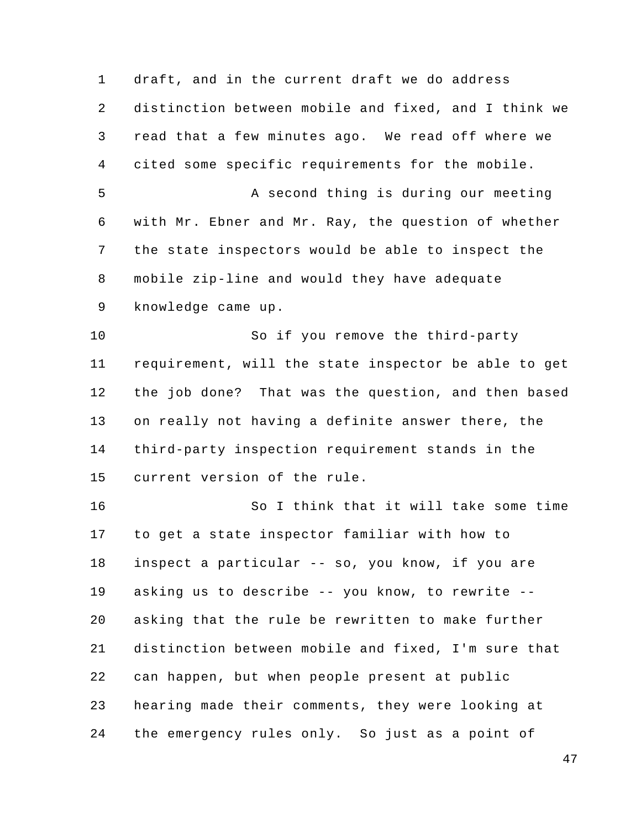1 2 3 4 5 6 7 8 9 10 11 12 13 14 15 16 17 18 19 20 21 22 23 24 draft, and in the current draft we do address distinction between mobile and fixed, and I think we read that a few minutes ago. We read off where we cited some specific requirements for the mobile. A second thing is during our meeting with Mr. Ebner and Mr. Ray, the question of whether the state inspectors would be able to inspect the mobile zip-line and would they have adequate knowledge came up. So if you remove the third-party requirement, will the state inspector be able to get the job done? That was the question, and then based on really not having a definite answer there, the third-party inspection requirement stands in the current version of the rule. So I think that it will take some time to get a state inspector familiar with how to inspect a particular -- so, you know, if you are asking us to describe -- you know, to rewrite - asking that the rule be rewritten to make further distinction between mobile and fixed, I'm sure that can happen, but when people present at public hearing made their comments, they were looking at the emergency rules only. So just as a point of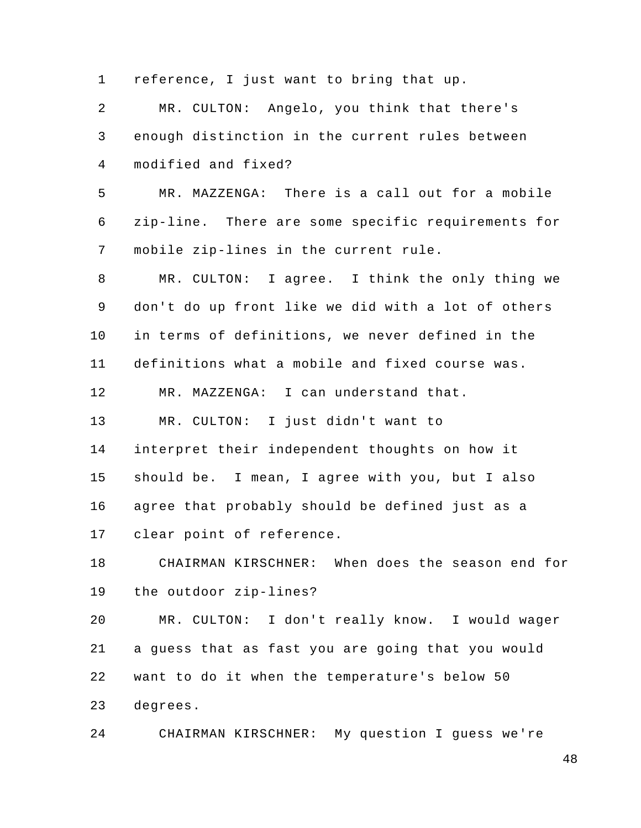1 2 3 4 5 6 7 8 9 10 11 12 13 14 15 16 17 18 19 20 21 22 23 24 reference, I just want to bring that up. MR. CULTON: Angelo, you think that there's enough distinction in the current rules between modified and fixed? MR. MAZZENGA: There is a call out for a mobile zip-line. There are some specific requirements for mobile zip-lines in the current rule. MR. CULTON: I agree. I think the only thing we don't do up front like we did with a lot of others in terms of definitions, we never defined in the definitions what a mobile and fixed course was. MR. MAZZENGA: I can understand that. MR. CULTON: I just didn't want to interpret their independent thoughts on how it should be. I mean, I agree with you, but I also agree that probably should be defined just as a clear point of reference. CHAIRMAN KIRSCHNER: When does the season end for the outdoor zip-lines? MR. CULTON: I don't really know. I would wager a guess that as fast you are going that you would want to do it when the temperature's below 50 degrees. CHAIRMAN KIRSCHNER: My question I guess we're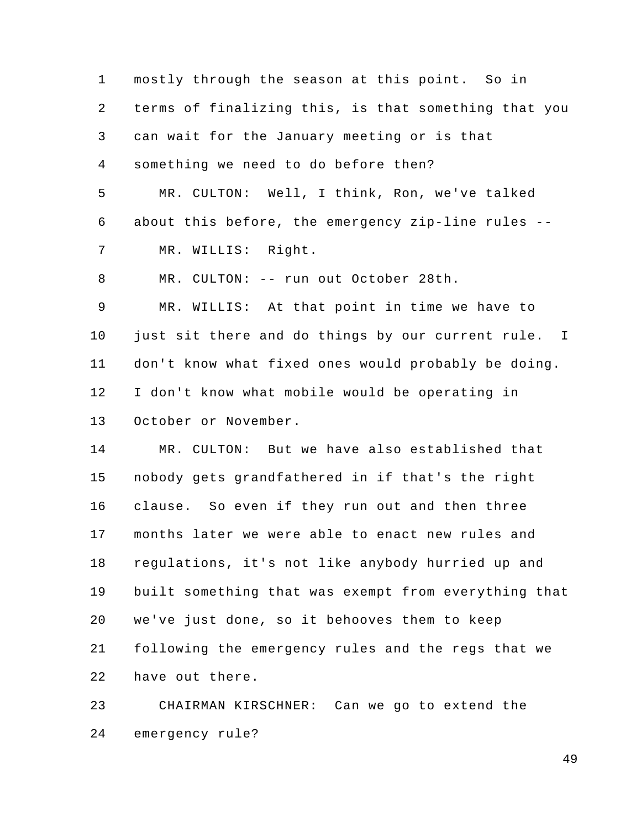1 2 3 4 5 6 7 8 9 10 11 12 13 14 mostly through the season at this point. So in terms of finalizing this, is that something that you can wait for the January meeting or is that something we need to do before then? MR. CULTON: Well, I think, Ron, we've talked about this before, the emergency zip-line rules -- MR. WILLIS: Right. MR. CULTON: -- run out October 28th. MR. WILLIS: At that point in time we have to just sit there and do things by our current rule. I don't know what fixed ones would probably be doing. I don't know what mobile would be operating in October or November. MR. CULTON: But we have also established that

15 16 17 18 19 20 21 22 nobody gets grandfathered in if that's the right clause. So even if they run out and then three months later we were able to enact new rules and regulations, it's not like anybody hurried up and built something that was exempt from everything that we've just done, so it behooves them to keep following the emergency rules and the regs that we have out there.

23 24 CHAIRMAN KIRSCHNER: Can we go to extend the emergency rule?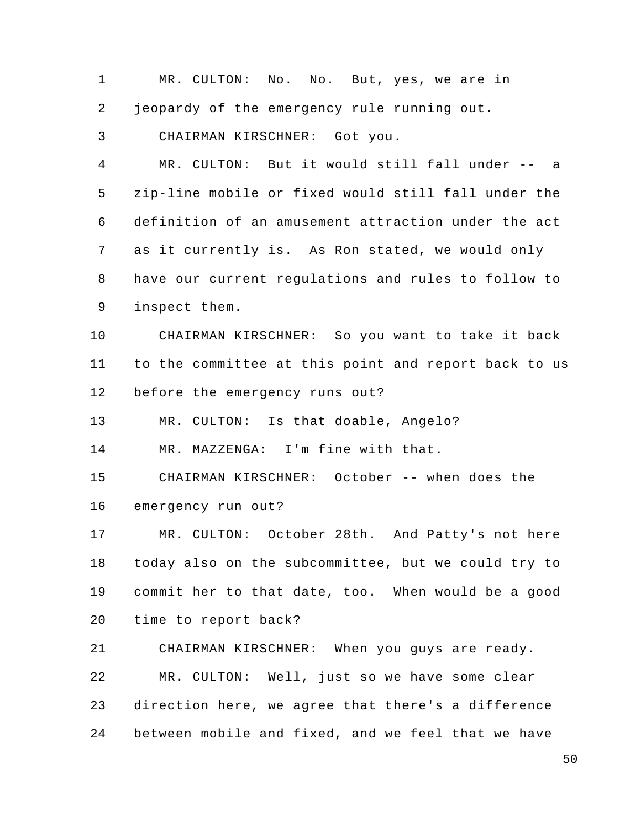1 2 3 4 5 MR. CULTON: No. No. But, yes, we are in jeopardy of the emergency rule running out. CHAIRMAN KIRSCHNER: Got you. MR. CULTON: But it would still fall under -- a zip-line mobile or fixed would still fall under the

6 7 8 9 definition of an amusement attraction under the act as it currently is. As Ron stated, we would only have our current regulations and rules to follow to inspect them.

10 11 CHAIRMAN KIRSCHNER: So you want to take it back to the committee at this point and report back to us

12 before the emergency runs out?

13 MR. CULTON: Is that doable, Angelo?

14 MR. MAZZENGA: I'm fine with that.

15 CHAIRMAN KIRSCHNER: October -- when does the

16 emergency run out?

17 18 19 20 MR. CULTON: October 28th. And Patty's not here today also on the subcommittee, but we could try to commit her to that date, too. When would be a good time to report back?

21 CHAIRMAN KIRSCHNER: When you guys are ready.

22 MR. CULTON: Well, just so we have some clear

23 direction here, we agree that there's a difference

24 between mobile and fixed, and we feel that we have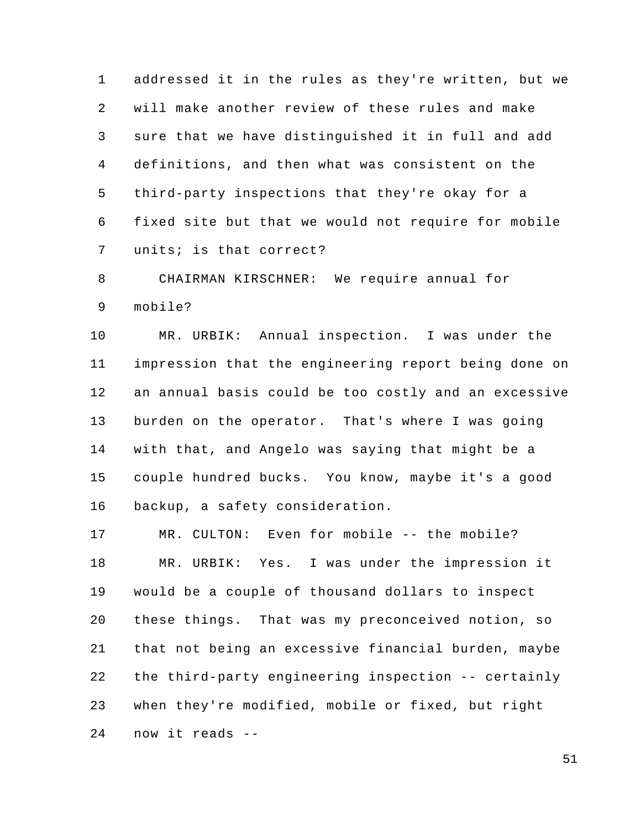1 2 3 4 5 6 7 addressed it in the rules as they're written, but we will make another review of these rules and make sure that we have distinguished it in full and add definitions, and then what was consistent on the third-party inspections that they're okay for a fixed site but that we would not require for mobile units; is that correct?

8 9 CHAIRMAN KIRSCHNER: We require annual for mobile?

10 11 12 13 14 15 16 MR. URBIK: Annual inspection. I was under the impression that the engineering report being done on an annual basis could be too costly and an excessive burden on the operator. That's where I was going with that, and Angelo was saying that might be a couple hundred bucks. You know, maybe it's a good backup, a safety consideration.

17 18 19 20 21 22 23 24 MR. CULTON: Even for mobile -- the mobile? MR. URBIK: Yes. I was under the impression it would be a couple of thousand dollars to inspect these things. That was my preconceived notion, so that not being an excessive financial burden, maybe the third-party engineering inspection -- certainly when they're modified, mobile or fixed, but right now it reads --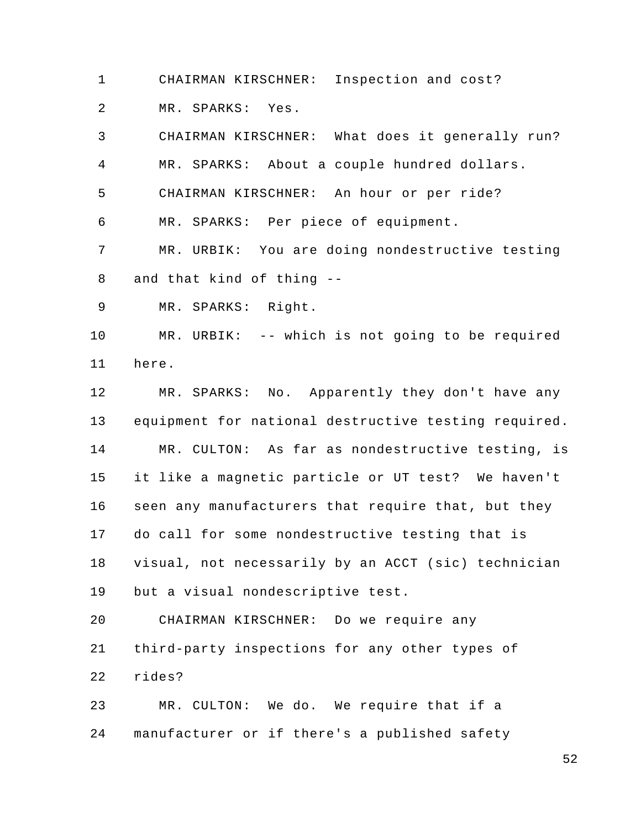1 CHAIRMAN KIRSCHNER: Inspection and cost?

2 MR. SPARKS: Yes.

3 4 5 6 7 8 CHAIRMAN KIRSCHNER: What does it generally run? MR. SPARKS: About a couple hundred dollars. CHAIRMAN KIRSCHNER: An hour or per ride? MR. SPARKS: Per piece of equipment. MR. URBIK: You are doing nondestructive testing and that kind of thing --

9 MR. SPARKS: Right.

10 11 MR. URBIK: -- which is not going to be required here.

12 13 14 15 16 17 18 19 MR. SPARKS: No. Apparently they don't have any equipment for national destructive testing required. MR. CULTON: As far as nondestructive testing, is it like a magnetic particle or UT test? We haven't seen any manufacturers that require that, but they do call for some nondestructive testing that is visual, not necessarily by an ACCT (sic) technician but a visual nondescriptive test.

20 21 22 CHAIRMAN KIRSCHNER: Do we require any third-party inspections for any other types of rides?

23 24 MR. CULTON: We do. We require that if a manufacturer or if there's a published safety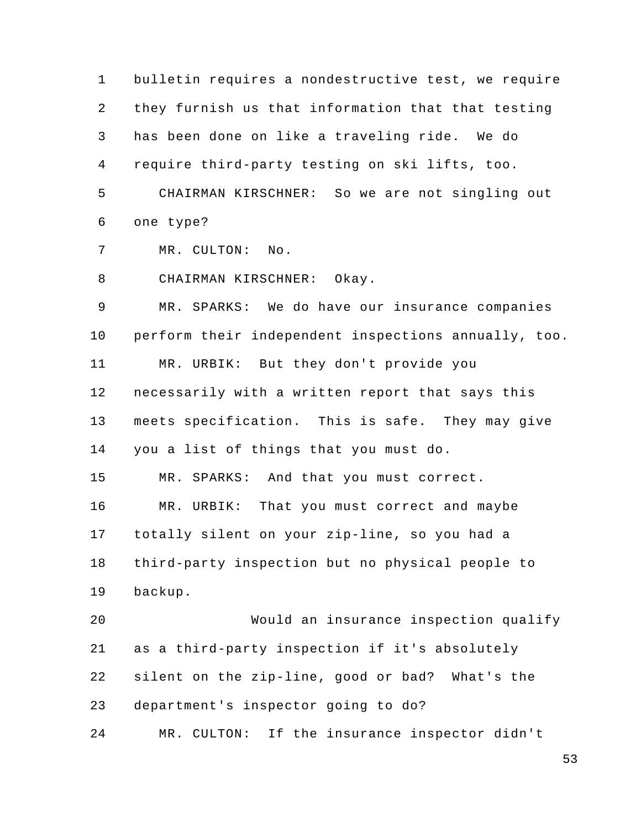1 2 3 4 5 6 7 bulletin requires a nondestructive test, we require they furnish us that information that that testing has been done on like a traveling ride. We do require third-party testing on ski lifts, too. CHAIRMAN KIRSCHNER: So we are not singling out one type? MR. CULTON: No.

8 CHAIRMAN KIRSCHNER: Okay.

9 10 11 12 13 14 15 16 17 18 19 20 21 MR. SPARKS: We do have our insurance companies perform their independent inspections annually, too. MR. URBIK: But they don't provide you necessarily with a written report that says this meets specification. This is safe. They may give you a list of things that you must do. MR. SPARKS: And that you must correct. MR. URBIK: That you must correct and maybe totally silent on your zip-line, so you had a third-party inspection but no physical people to backup. Would an insurance inspection qualify as a third-party inspection if it's absolutely

22 silent on the zip-line, good or bad? What's the

23 department's inspector going to do?

24 MR. CULTON: If the insurance inspector didn't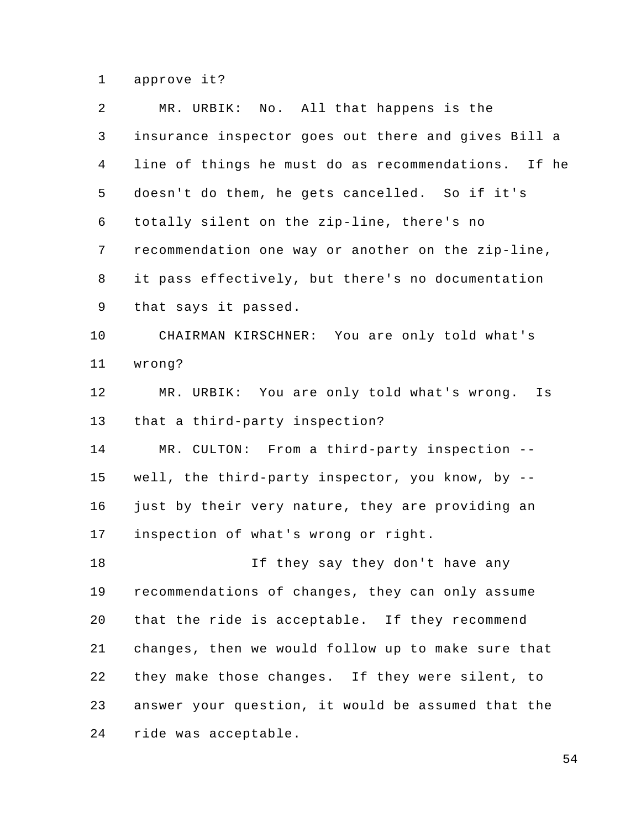1 approve it?

| 2              | MR. URBIK: No. All that happens is the              |
|----------------|-----------------------------------------------------|
| 3              | insurance inspector goes out there and gives Bill a |
| $\overline{4}$ | line of things he must do as recommendations. If he |
| 5              | doesn't do them, he gets cancelled. So if it's      |
| 6              | totally silent on the zip-line, there's no          |
| 7              | recommendation one way or another on the zip-line,  |
| 8              | it pass effectively, but there's no documentation   |
| 9              | that says it passed.                                |
| 10             | CHAIRMAN KIRSCHNER: You are only told what's        |
| 11             | wrong?                                              |
| 12             | MR. URBIK: You are only told what's wrong.<br>Is    |
| 13             | that a third-party inspection?                      |
| 14             | MR. CULTON: From a third-party inspection --        |
| 15             | well, the third-party inspector, you know, by $-$ - |
| 16             | just by their very nature, they are providing an    |
| 17             | inspection of what's wrong or right.                |
| 18             | If they say they don't have any                     |
| 19             | recommendations of changes, they can only assume    |
| 20             | that the ride is acceptable. If they recommend      |
| 21             | changes, then we would follow up to make sure that  |
| 22             | they make those changes. If they were silent, to    |
| 23             | answer your question, it would be assumed that the  |
| 24             | ride was acceptable.                                |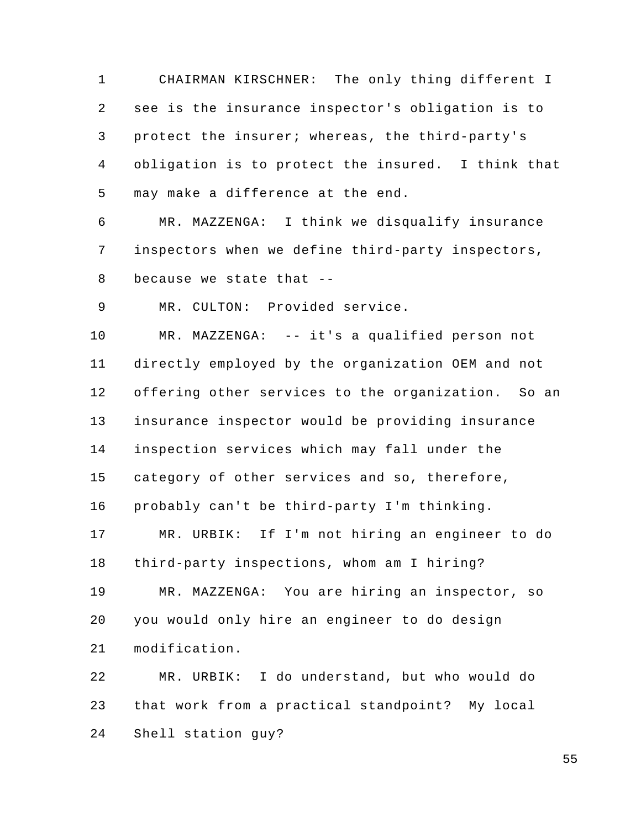1 2 3 4 5 CHAIRMAN KIRSCHNER: The only thing different I see is the insurance inspector's obligation is to protect the insurer; whereas, the third-party's obligation is to protect the insured. I think that may make a difference at the end.

6 7 8 MR. MAZZENGA: I think we disqualify insurance inspectors when we define third-party inspectors, because we state that --

9 MR. CULTON: Provided service.

10 11 12 13 14 15 16 MR. MAZZENGA: -- it's a qualified person not directly employed by the organization OEM and not offering other services to the organization. So an insurance inspector would be providing insurance inspection services which may fall under the category of other services and so, therefore, probably can't be third-party I'm thinking.

17 18 19 20 21 MR. URBIK: If I'm not hiring an engineer to do third-party inspections, whom am I hiring? MR. MAZZENGA: You are hiring an inspector, so you would only hire an engineer to do design modification.

22 23 24 MR. URBIK: I do understand, but who would do that work from a practical standpoint? My local Shell station guy?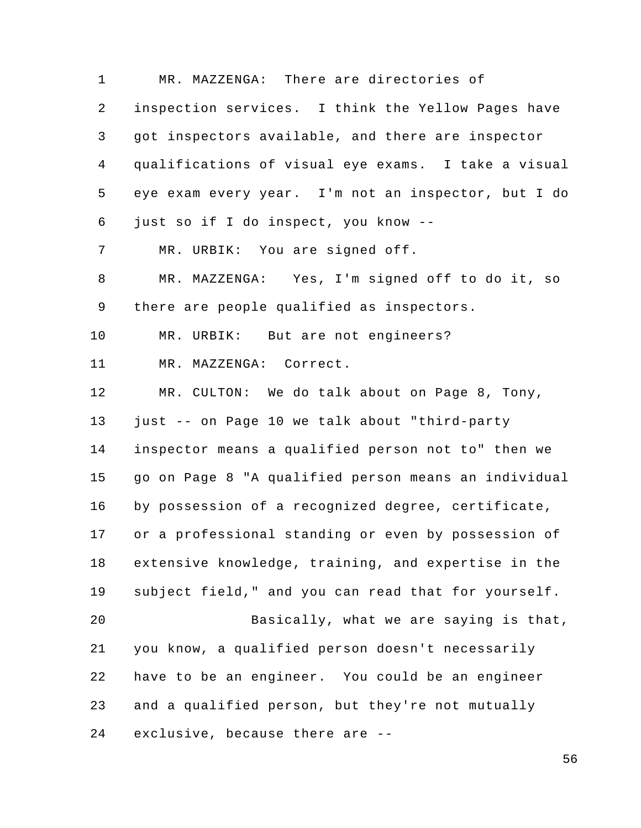1 2 3 4 5 6 7 8 9 10 11 12 13 14 15 16 17 18 19 20 21 22 23 24 MR. MAZZENGA: There are directories of inspection services. I think the Yellow Pages have got inspectors available, and there are inspector qualifications of visual eye exams. I take a visual eye exam every year. I'm not an inspector, but I do just so if I do inspect, you know -- MR. URBIK: You are signed off. MR. MAZZENGA: Yes, I'm signed off to do it, so there are people qualified as inspectors. MR. URBIK: But are not engineers? MR. MAZZENGA: Correct. MR. CULTON: We do talk about on Page 8, Tony, just -- on Page 10 we talk about "third-party inspector means a qualified person not to" then we go on Page 8 "A qualified person means an individual by possession of a recognized degree, certificate, or a professional standing or even by possession of extensive knowledge, training, and expertise in the subject field," and you can read that for yourself. Basically, what we are saying is that, you know, a qualified person doesn't necessarily have to be an engineer. You could be an engineer and a qualified person, but they're not mutually exclusive, because there are --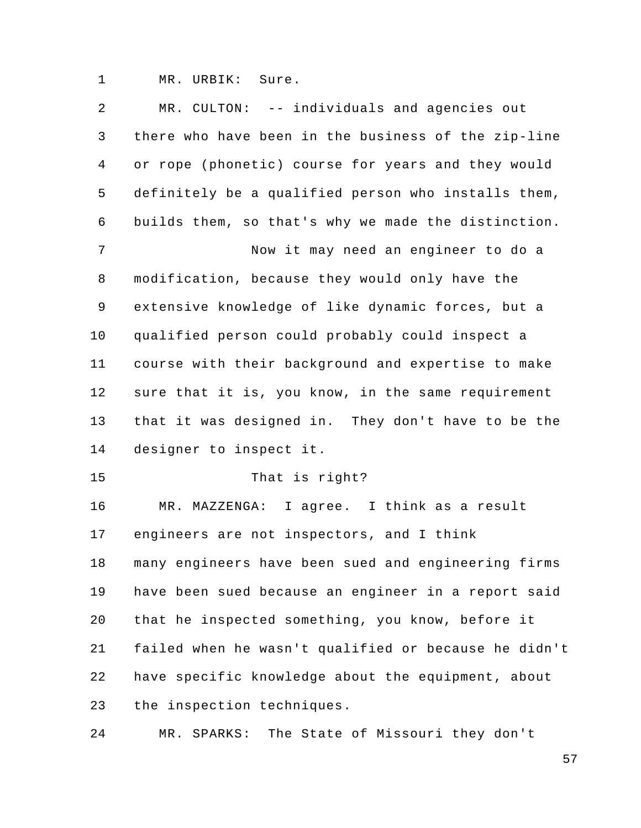1 MR. URBIK: Sure.

| 2  | MR. CULTON: -- individuals and agencies out          |
|----|------------------------------------------------------|
| 3  | there who have been in the business of the zip-line  |
| 4  | or rope (phonetic) course for years and they would   |
| 5  | definitely be a qualified person who installs them,  |
| 6  | builds them, so that's why we made the distinction.  |
| 7  | Now it may need an engineer to do a                  |
| 8  | modification, because they would only have the       |
| 9  | extensive knowledge of like dynamic forces, but a    |
| 10 | qualified person could probably could inspect a      |
| 11 | course with their background and expertise to make   |
| 12 | sure that it is, you know, in the same requirement   |
| 13 | that it was designed in. They don't have to be the   |
| 14 | designer to inspect it.                              |
| 15 | That is right?                                       |
| 16 | MR. MAZZENGA: I agree. I think as a result           |
| 17 | engineers are not inspectors, and I think            |
| 18 | many engineers have been sued and engineering firms  |
| 19 | have been sued because an engineer in a report said  |
| 20 | that he inspected something, you know, before it     |
| 21 | failed when he wasn't qualified or because he didn't |
| 22 | have specific knowledge about the equipment, about   |
| 23 | the inspection techniques.                           |
| 24 | The State of Missouri they don't<br>MR. SPARKS:      |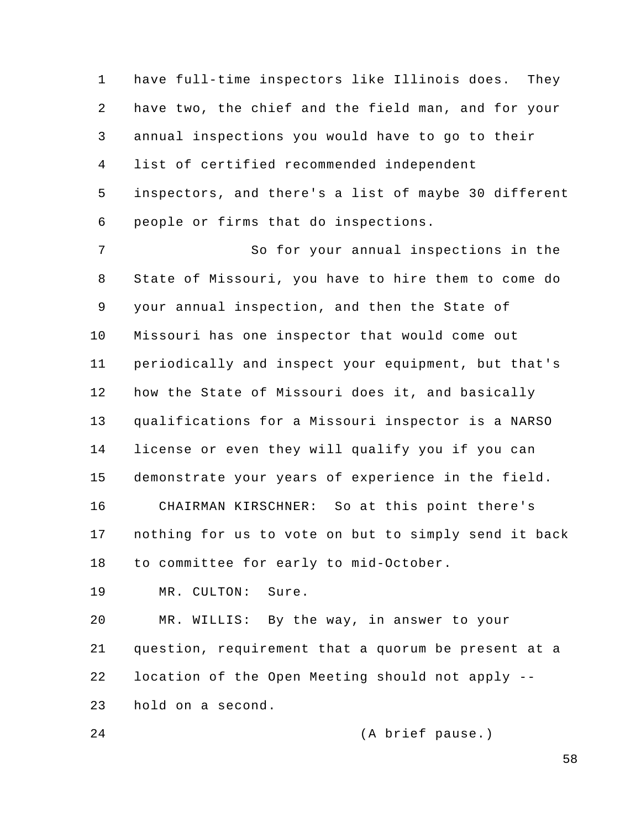1 2 3 4 5 6 have full-time inspectors like Illinois does. They have two, the chief and the field man, and for your annual inspections you would have to go to their list of certified recommended independent inspectors, and there's a list of maybe 30 different people or firms that do inspections.

7 8 9 10 11 12 13 14 15 16 17 18 So for your annual inspections in the State of Missouri, you have to hire them to come do your annual inspection, and then the State of Missouri has one inspector that would come out periodically and inspect your equipment, but that's how the State of Missouri does it, and basically qualifications for a Missouri inspector is a NARSO license or even they will qualify you if you can demonstrate your years of experience in the field. CHAIRMAN KIRSCHNER: So at this point there's nothing for us to vote on but to simply send it back to committee for early to mid-October.

19 MR. CULTON: Sure.

20 21 22 23 MR. WILLIS: By the way, in answer to your question, requirement that a quorum be present at a location of the Open Meeting should not apply - hold on a second.

24 (A brief pause.)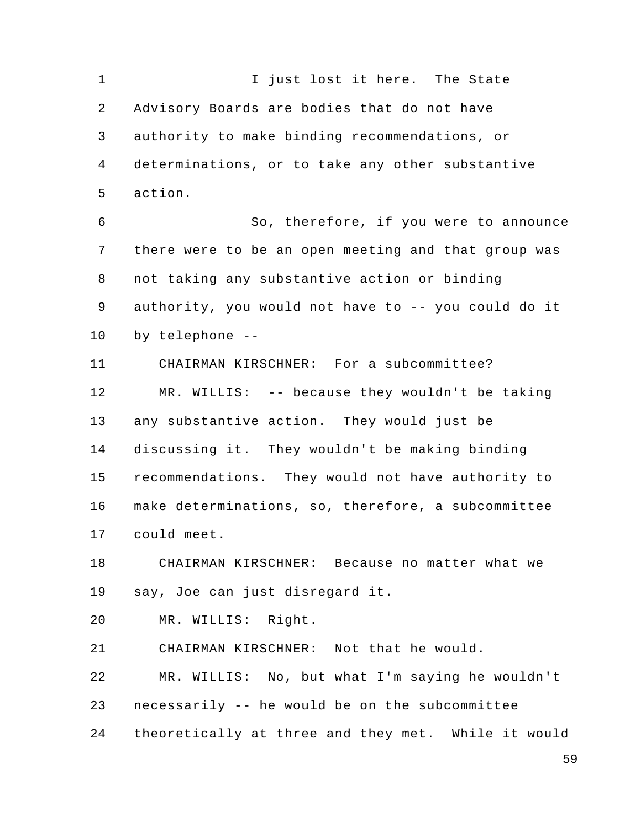1 2 3 4 5 6 7 8 9 10 11 12 13 14 15 16 17 18 19 20 21 I just lost it here. The State Advisory Boards are bodies that do not have authority to make binding recommendations, or determinations, or to take any other substantive action. So, therefore, if you were to announce there were to be an open meeting and that group was not taking any substantive action or binding authority, you would not have to -- you could do it by telephone -- CHAIRMAN KIRSCHNER: For a subcommittee? MR. WILLIS: -- because they wouldn't be taking any substantive action. They would just be discussing it. They wouldn't be making binding recommendations. They would not have authority to make determinations, so, therefore, a subcommittee could meet. CHAIRMAN KIRSCHNER: Because no matter what we say, Joe can just disregard it. MR. WILLIS: Right. CHAIRMAN KIRSCHNER: Not that he would.

23 MR. WILLIS: No, but what I'm saying he wouldn't necessarily -- he would be on the subcommittee

22

24 theoretically at three and they met. While it would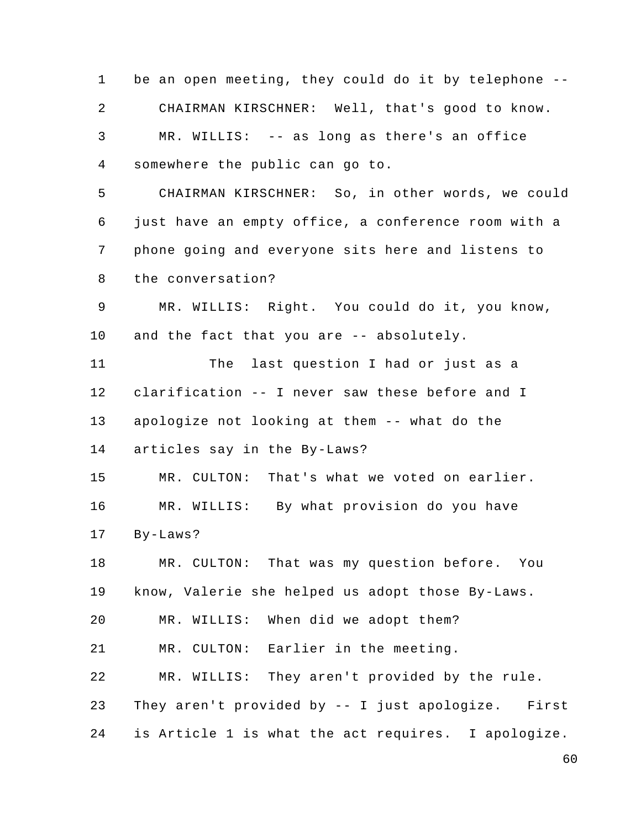1 2 3 4 5 6 7 8 9 10 11 12 13 14 15 16 17 18 19 20 21 22 23 24 be an open meeting, they could do it by telephone -- CHAIRMAN KIRSCHNER: Well, that's good to know. MR. WILLIS: -- as long as there's an office somewhere the public can go to. CHAIRMAN KIRSCHNER: So, in other words, we could just have an empty office, a conference room with a phone going and everyone sits here and listens to the conversation? MR. WILLIS: Right. You could do it, you know, and the fact that you are -- absolutely. The last question I had or just as a clarification -- I never saw these before and I apologize not looking at them -- what do the articles say in the By-Laws? MR. CULTON: That's what we voted on earlier. MR. WILLIS: By what provision do you have By-Laws? MR. CULTON: That was my question before. You know, Valerie she helped us adopt those By-Laws. MR. WILLIS: When did we adopt them? MR. CULTON: Earlier in the meeting. MR. WILLIS: They aren't provided by the rule. They aren't provided by -- I just apologize. First is Article 1 is what the act requires. I apologize.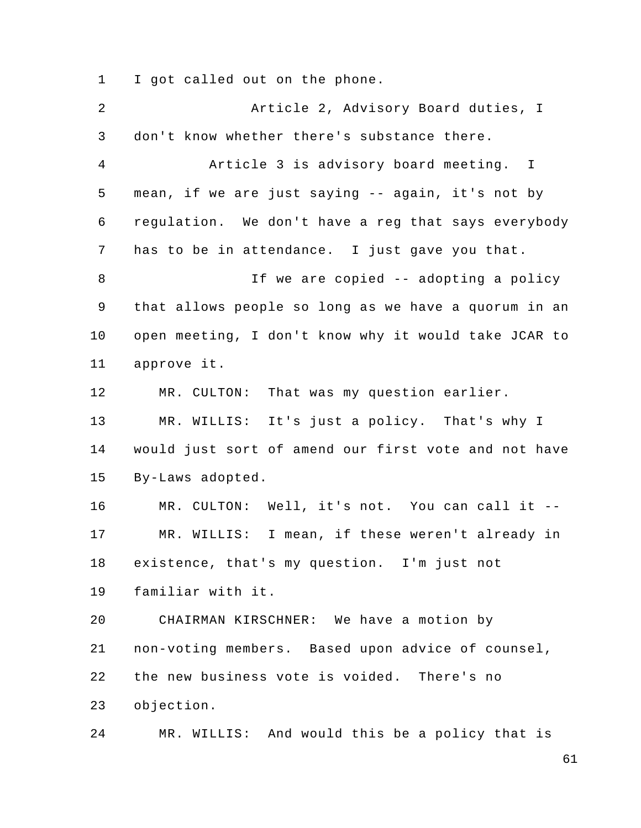1 I got called out on the phone.

2 3 4 5 6 7 8 9 10 11 12 13 14 15 16 17 18 19 20 21 22 23 24 Article 2, Advisory Board duties, I don't know whether there's substance there. Article 3 is advisory board meeting. I mean, if we are just saying -- again, it's not by regulation. We don't have a reg that says everybody has to be in attendance. I just gave you that. If we are copied -- adopting a policy that allows people so long as we have a quorum in an open meeting, I don't know why it would take JCAR to approve it. MR. CULTON: That was my question earlier. MR. WILLIS: It's just a policy. That's why I would just sort of amend our first vote and not have By-Laws adopted. MR. CULTON: Well, it's not. You can call it -- MR. WILLIS: I mean, if these weren't already in existence, that's my question. I'm just not familiar with it. CHAIRMAN KIRSCHNER: We have a motion by non-voting members. Based upon advice of counsel, the new business vote is voided. There's no objection. MR. WILLIS: And would this be a policy that is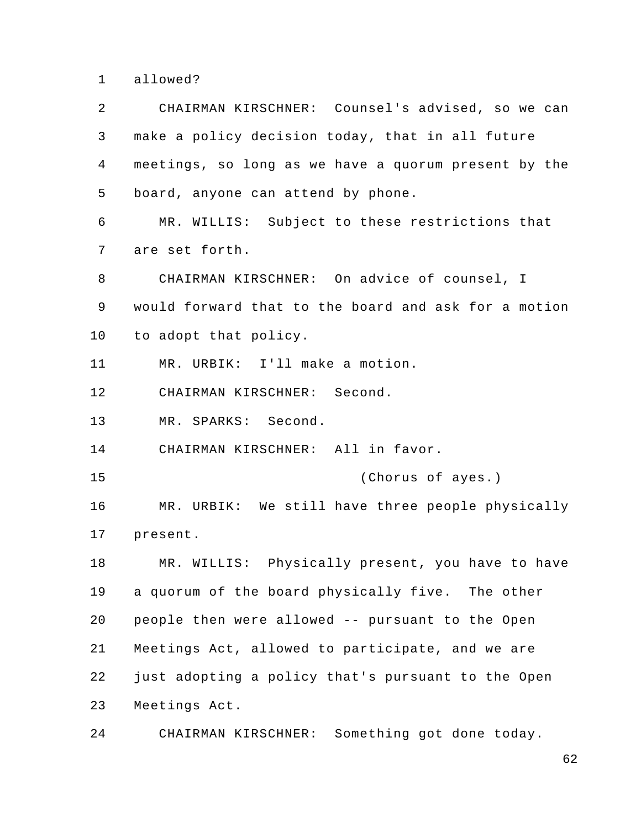1 allowed?

2 3 4 5 6 7 8 9 10 11 12 13 14 15 16 17 18 19 20 21 22 23 24 CHAIRMAN KIRSCHNER: Counsel's advised, so we can make a policy decision today, that in all future meetings, so long as we have a quorum present by the board, anyone can attend by phone. MR. WILLIS: Subject to these restrictions that are set forth. CHAIRMAN KIRSCHNER: On advice of counsel, I would forward that to the board and ask for a motion to adopt that policy. MR. URBIK: I'll make a motion. CHAIRMAN KIRSCHNER: Second. MR. SPARKS: Second. CHAIRMAN KIRSCHNER: All in favor. (Chorus of ayes.) MR. URBIK: We still have three people physically present. MR. WILLIS: Physically present, you have to have a quorum of the board physically five. The other people then were allowed -- pursuant to the Open Meetings Act, allowed to participate, and we are just adopting a policy that's pursuant to the Open Meetings Act. CHAIRMAN KIRSCHNER: Something got done today.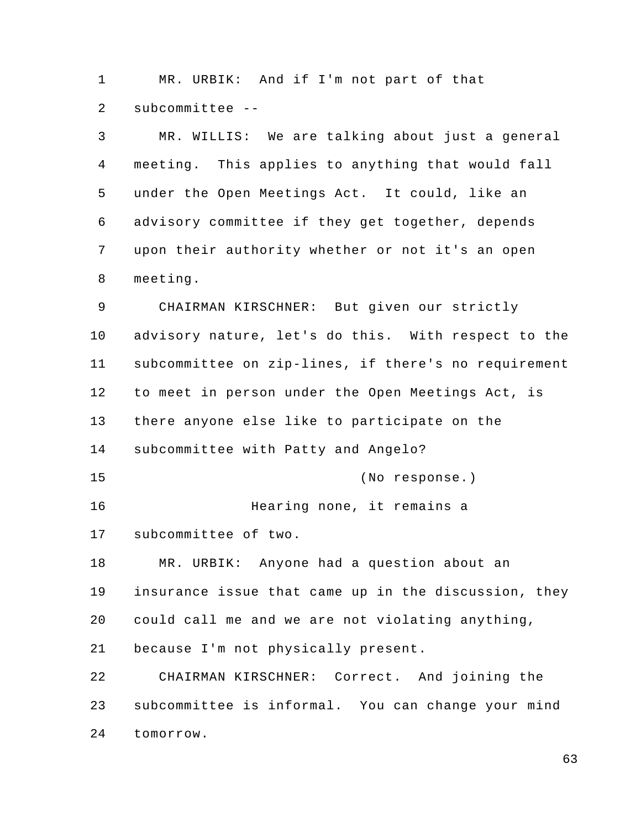1 MR. URBIK: And if I'm not part of that 2 subcommittee --

| 3              | MR. WILLIS: We are talking about just a general      |
|----------------|------------------------------------------------------|
| $\overline{4}$ | meeting. This applies to anything that would fall    |
| 5              | under the Open Meetings Act. It could, like an       |
| 6              | advisory committee if they get together, depends     |
| 7              | upon their authority whether or not it's an open     |
| 8              | meeting.                                             |
| 9              | CHAIRMAN KIRSCHNER: But given our strictly           |
| 10             | advisory nature, let's do this. With respect to the  |
| 11             | subcommittee on zip-lines, if there's no requirement |
| 12             | to meet in person under the Open Meetings Act, is    |
| 13             | there anyone else like to participate on the         |
| 14             | subcommittee with Patty and Angelo?                  |
| 15             | (No response.)                                       |
| 16             | Hearing none, it remains a                           |
| 17             | subcommittee of two.                                 |
| 18             | MR. URBIK: Anyone had a question about an            |
| 19             | insurance issue that came up in the discussion, they |
| 20             | could call me and we are not violating anything,     |
| 21             | because I'm not physically present.                  |
| 22             | CHAIRMAN KIRSCHNER: Correct. And joining the         |
| 23             | subcommittee is informal. You can change your mind   |
| 24             | tomorrow.                                            |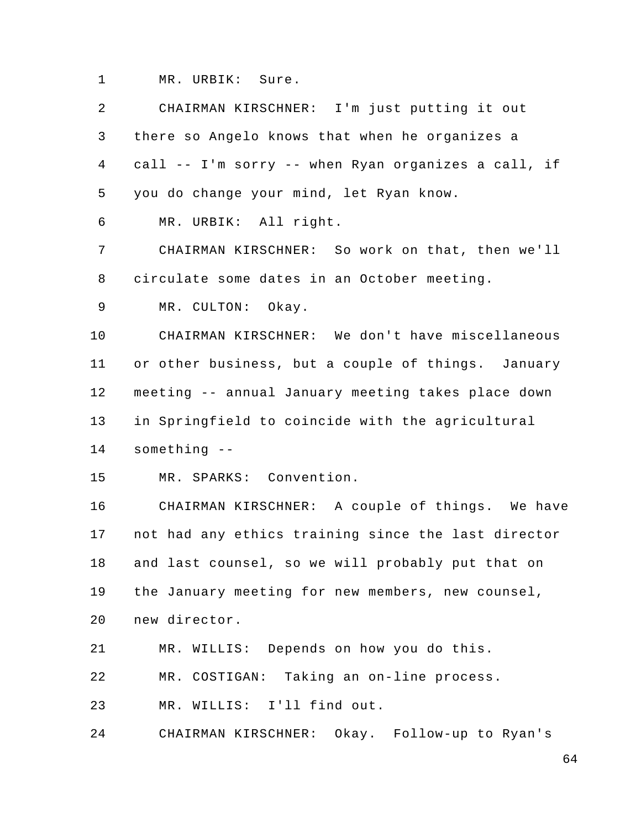1 MR. URBIK: Sure.

| 2  | CHAIRMAN KIRSCHNER: I'm just putting it out         |
|----|-----------------------------------------------------|
| 3  | there so Angelo knows that when he organizes a      |
| 4  | call -- I'm sorry -- when Ryan organizes a call, if |
| 5  | you do change your mind, let Ryan know.             |
| 6  | MR. URBIK: All right.                               |
| 7  | CHAIRMAN KIRSCHNER: So work on that, then we'll     |
| 8  | circulate some dates in an October meeting.         |
| 9  | MR. CULTON: Okay.                                   |
| 10 | CHAIRMAN KIRSCHNER: We don't have miscellaneous     |
| 11 | or other business, but a couple of things. January  |
| 12 | meeting -- annual January meeting takes place down  |
| 13 | in Springfield to coincide with the agricultural    |
| 14 | something --                                        |
| 15 | MR. SPARKS: Convention.                             |
| 16 | CHAIRMAN KIRSCHNER: A couple of things. We have     |
| 17 | not had any ethics training since the last director |
| 18 | and last counsel, so we will probably put that on   |
| 19 | the January meeting for new members, new counsel,   |
| 20 | new director.                                       |
| 21 | MR. WILLIS: Depends on how you do this.             |
| 22 | MR. COSTIGAN: Taking an on-line process.            |
| 23 | MR. WILLIS: I'll find out.                          |
| 24 | CHAIRMAN KIRSCHNER: Okay. Follow-up to Ryan's       |
|    |                                                     |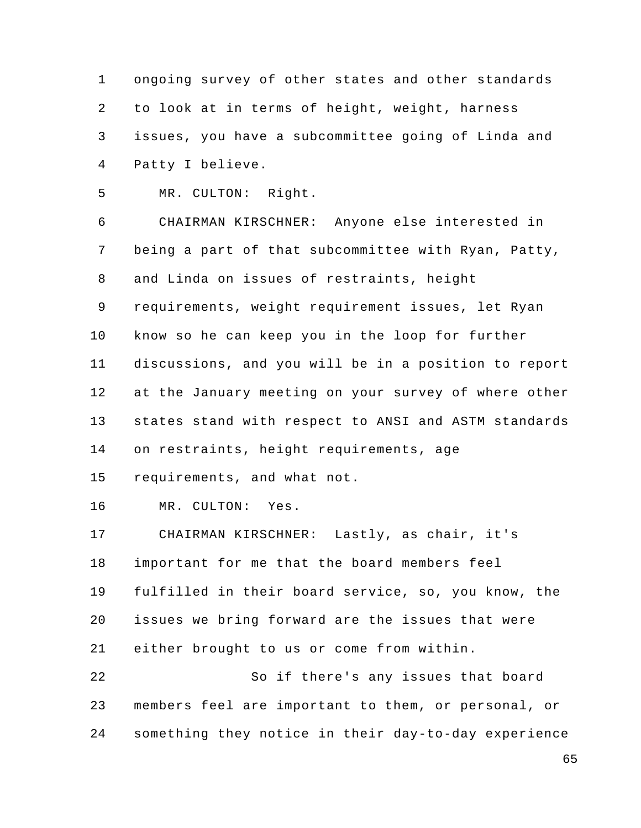1 2 3 4 ongoing survey of other states and other standards to look at in terms of height, weight, harness issues, you have a subcommittee going of Linda and Patty I believe.

5 MR. CULTON: Right.

6 7 8 9 10 11 12 13 14 CHAIRMAN KIRSCHNER: Anyone else interested in being a part of that subcommittee with Ryan, Patty, and Linda on issues of restraints, height requirements, weight requirement issues, let Ryan know so he can keep you in the loop for further discussions, and you will be in a position to report at the January meeting on your survey of where other states stand with respect to ANSI and ASTM standards on restraints, height requirements, age

15 requirements, and what not.

16 MR. CULTON: Yes.

17 18 19 20 21 22 CHAIRMAN KIRSCHNER: Lastly, as chair, it's important for me that the board members feel fulfilled in their board service, so, you know, the issues we bring forward are the issues that were either brought to us or come from within. So if there's any issues that board

23 24 members feel are important to them, or personal, or something they notice in their day-to-day experience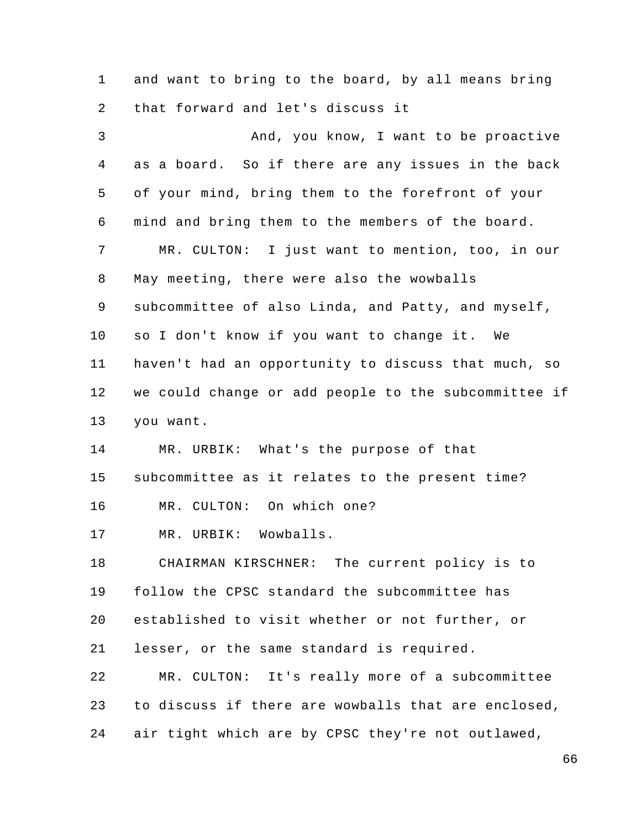1 2 and want to bring to the board, by all means bring that forward and let's discuss it

3 4 5 6 7 8 9 10 11 12 13 14 15 16 17 18 19 20 21 22 23 24 And, you know, I want to be proactive as a board. So if there are any issues in the back of your mind, bring them to the forefront of your mind and bring them to the members of the board. MR. CULTON: I just want to mention, too, in our May meeting, there were also the wowballs subcommittee of also Linda, and Patty, and myself, so I don't know if you want to change it. We haven't had an opportunity to discuss that much, so we could change or add people to the subcommittee if you want. MR. URBIK: What's the purpose of that subcommittee as it relates to the present time? MR. CULTON: On which one? MR. URBIK: Wowballs. CHAIRMAN KIRSCHNER: The current policy is to follow the CPSC standard the subcommittee has established to visit whether or not further, or lesser, or the same standard is required. MR. CULTON: It's really more of a subcommittee to discuss if there are wowballs that are enclosed, air tight which are by CPSC they're not outlawed,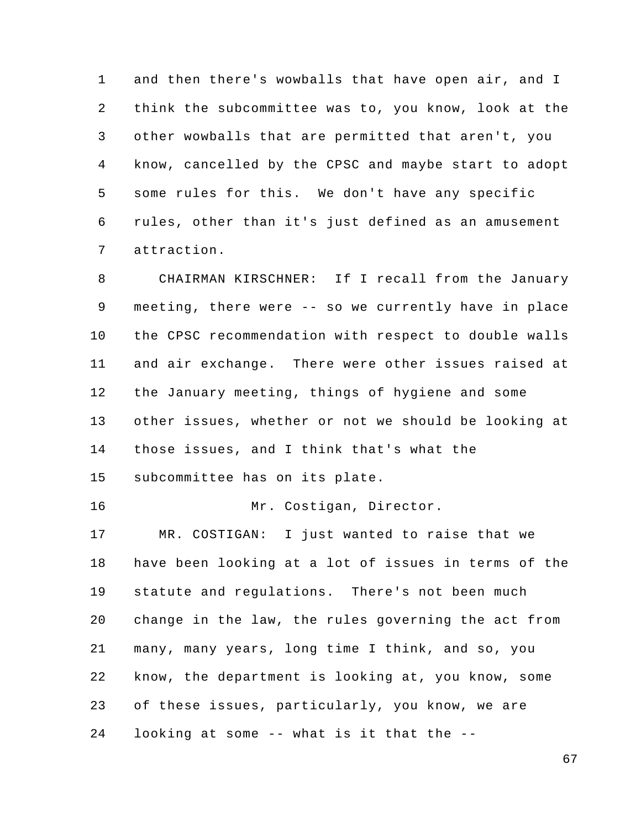1 2 3 4 5 6 7 and then there's wowballs that have open air, and I think the subcommittee was to, you know, look at the other wowballs that are permitted that aren't, you know, cancelled by the CPSC and maybe start to adopt some rules for this. We don't have any specific rules, other than it's just defined as an amusement attraction.

8 9 10 11 12 13 14 CHAIRMAN KIRSCHNER: If I recall from the January meeting, there were -- so we currently have in place the CPSC recommendation with respect to double walls and air exchange. There were other issues raised at the January meeting, things of hygiene and some other issues, whether or not we should be looking at those issues, and I think that's what the

15 subcommittee has on its plate.

16 Mr. Costigan, Director.

17 18 19 20 21 22 23 24 MR. COSTIGAN: I just wanted to raise that we have been looking at a lot of issues in terms of the statute and regulations. There's not been much change in the law, the rules governing the act from many, many years, long time I think, and so, you know, the department is looking at, you know, some of these issues, particularly, you know, we are looking at some -- what is it that the --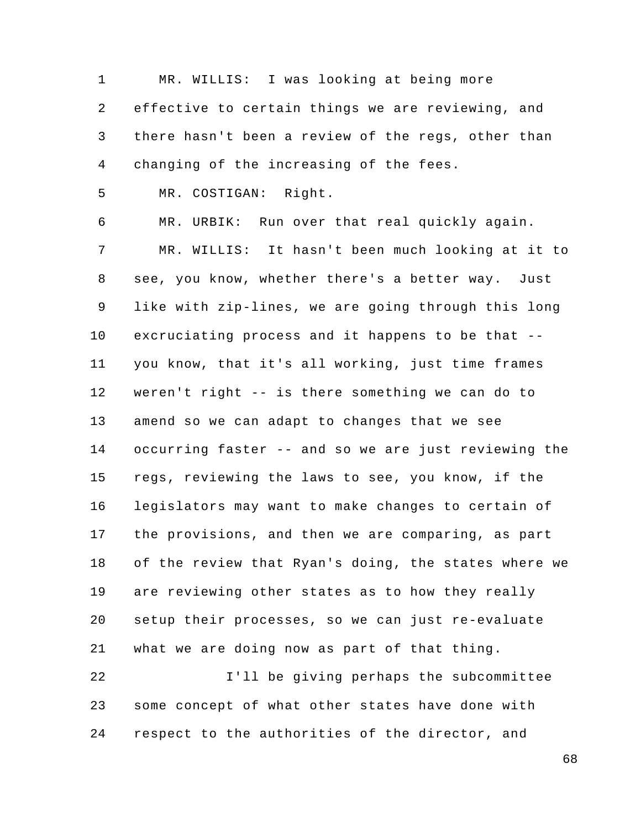1 2 3 4 MR. WILLIS: I was looking at being more effective to certain things we are reviewing, and there hasn't been a review of the regs, other than changing of the increasing of the fees.

5 MR. COSTIGAN: Right.

6 7 8 9 10 11 12 13 14 15 16 17 18 19 20 21 22 MR. URBIK: Run over that real quickly again. MR. WILLIS: It hasn't been much looking at it to see, you know, whether there's a better way. Just like with zip-lines, we are going through this long excruciating process and it happens to be that - you know, that it's all working, just time frames weren't right -- is there something we can do to amend so we can adapt to changes that we see occurring faster -- and so we are just reviewing the regs, reviewing the laws to see, you know, if the legislators may want to make changes to certain of the provisions, and then we are comparing, as part of the review that Ryan's doing, the states where we are reviewing other states as to how they really setup their processes, so we can just re-evaluate what we are doing now as part of that thing. I'll be giving perhaps the subcommittee

23 24 some concept of what other states have done with respect to the authorities of the director, and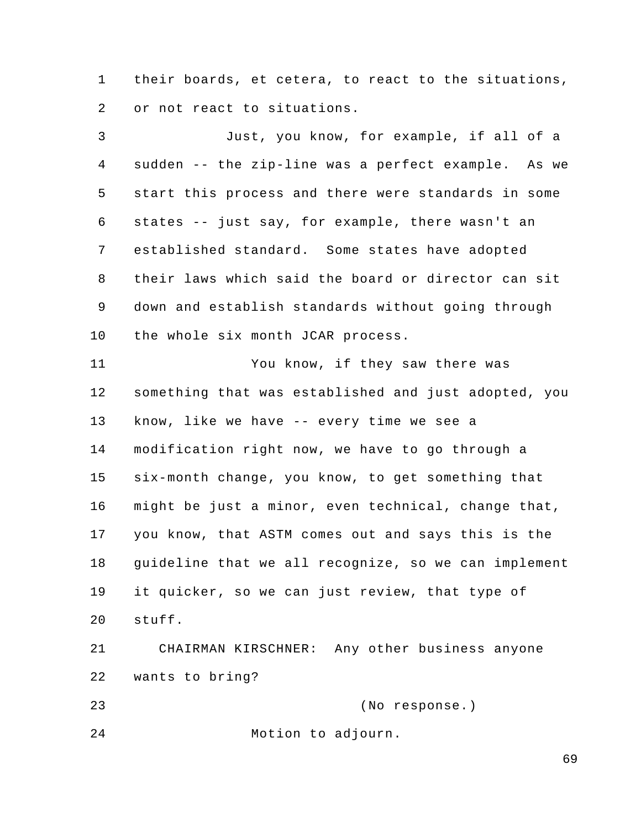1 2 their boards, et cetera, to react to the situations, or not react to situations.

3 4 5 6 7 8 9 10 11 Just, you know, for example, if all of a sudden -- the zip-line was a perfect example. As we start this process and there were standards in some states -- just say, for example, there wasn't an established standard. Some states have adopted their laws which said the board or director can sit down and establish standards without going through the whole six month JCAR process. You know, if they saw there was

12 13 14 15 16 17 18 19 20 something that was established and just adopted, you know, like we have -- every time we see a modification right now, we have to go through a six-month change, you know, to get something that might be just a minor, even technical, change that, you know, that ASTM comes out and says this is the guideline that we all recognize, so we can implement it quicker, so we can just review, that type of stuff.

21 22 CHAIRMAN KIRSCHNER: Any other business anyone wants to bring?

23 (No response.)

24 Motion to adjourn.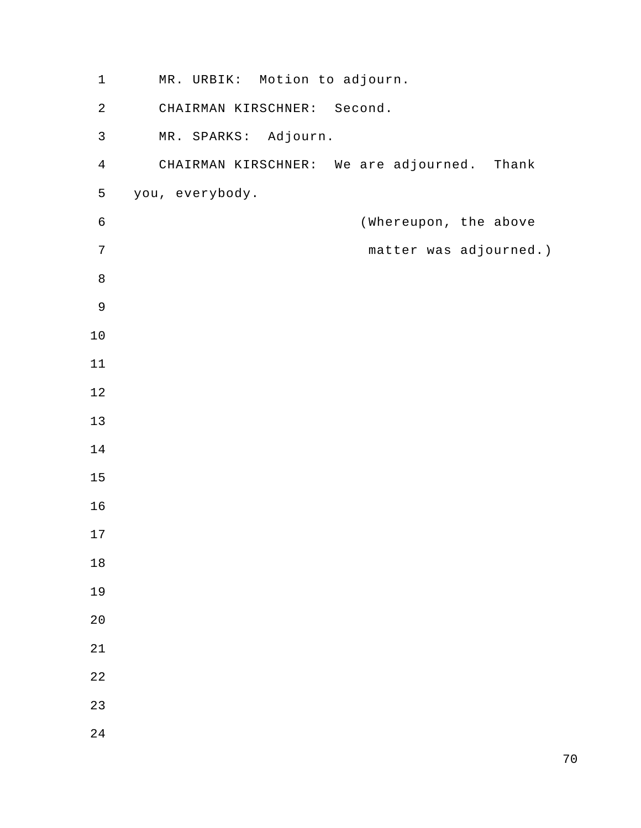| $\mathbf 1$    | MR. URBIK: Motion to adjourn.               |
|----------------|---------------------------------------------|
| $\sqrt{2}$     | CHAIRMAN KIRSCHNER: Second.                 |
| $\mathsf{3}$   | MR. SPARKS: Adjourn.                        |
| $\overline{4}$ | CHAIRMAN KIRSCHNER: We are adjourned. Thank |
| 5              | you, everybody.                             |
| $\epsilon$     | (Whereupon, the above                       |
| $\sqrt{ }$     | matter was adjourned.)                      |
| $\,8\,$        |                                             |
| $\mathsf 9$    |                                             |
| $10$           |                                             |
| $11$           |                                             |
| $12$           |                                             |
| 13             |                                             |
| $14\,$         |                                             |
| 15             |                                             |
| 16             |                                             |
| $17$           |                                             |
| 18             |                                             |
| 19             |                                             |
| 20             |                                             |
| 21             |                                             |
| 22             |                                             |
| 23             |                                             |
| 24             |                                             |